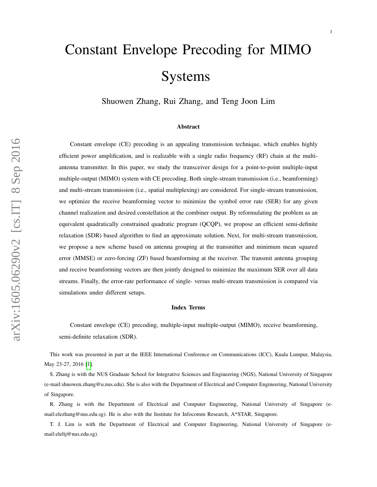# <span id="page-0-0"></span>Constant Envelope Precoding for MIMO Systems

Shuowen Zhang, Rui Zhang, and Teng Joon Lim

#### Abstract

Constant envelope (CE) precoding is an appealing transmission technique, which enables highly efficient power amplification, and is realizable with a single radio frequency (RF) chain at the multiantenna transmitter. In this paper, we study the transceiver design for a point-to-point multiple-input multiple-output (MIMO) system with CE precoding. Both single-stream transmission (i.e., beamforming) and multi-stream transmission (i.e., spatial multiplexing) are considered. For single-stream transmission, we optimize the receive beamforming vector to minimize the symbol error rate (SER) for any given channel realization and desired constellation at the combiner output. By reformulating the problem as an equivalent quadratically constrained quadratic program (QCQP), we propose an efficient semi-definite relaxation (SDR) based algorithm to find an approximate solution. Next, for multi-stream transmission, we propose a new scheme based on antenna grouping at the transmitter and minimum mean squared error (MMSE) or zero-forcing (ZF) based beamforming at the receiver. The transmit antenna grouping and receive beamforming vectors are then jointly designed to minimize the maximum SER over all data streams. Finally, the error-rate performance of single- versus multi-stream transmission is compared via simulations under different setups.

#### Index Terms

Constant envelope (CE) precoding, multiple-input multiple-output (MIMO), receive beamforming, semi-definite relaxation (SDR).

This work was presented in part at the IEEE International Conference on Communications (ICC), Kuala Lumpur, Malaysia, May 23-27, 2016 [\[1\]](#page-28-0).

S. Zhang is with the NUS Graduate School for Integrative Sciences and Engineering (NGS), National University of Singapore (e-mail:shuowen.zhang@u.nus.edu). She is also with the Department of Electrical and Computer Engineering, National University of Singapore.

R. Zhang is with the Department of Electrical and Computer Engineering, National University of Singapore (email:elezhang@nus.edu.sg). He is also with the Institute for Infocomm Research, A\*STAR, Singapore.

T. J. Lim is with the Department of Electrical and Computer Engineering, National University of Singapore (email:eleltj@nus.edu.sg).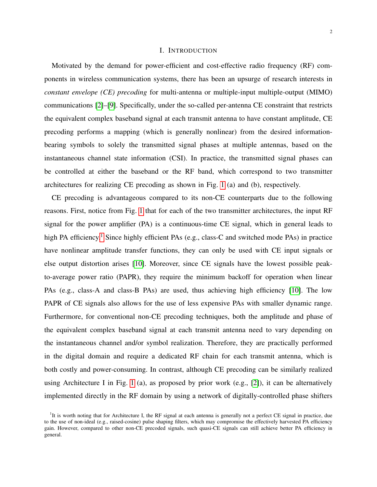## I. INTRODUCTION

Motivated by the demand for power-efficient and cost-effective radio frequency (RF) components in wireless communication systems, there has been an upsurge of research interests in *constant envelope (CE) precoding* for multi-antenna or multiple-input multiple-output (MIMO) communications [\[2\]](#page-28-1)–[\[9\]](#page-29-0). Specifically, under the so-called per-antenna CE constraint that restricts the equivalent complex baseband signal at each transmit antenna to have constant amplitude, CE precoding performs a mapping (which is generally nonlinear) from the desired informationbearing symbols to solely the transmitted signal phases at multiple antennas, based on the instantaneous channel state information (CSI). In practice, the transmitted signal phases can be controlled at either the baseband or the RF band, which correspond to two transmitter architectures for realizing CE precoding as shown in Fig. [1](#page-2-0) (a) and (b), respectively.

CE precoding is advantageous compared to its non-CE counterparts due to the following reasons. First, notice from Fig. [1](#page-2-0) that for each of the two transmitter architectures, the input RF signal for the power amplifier (PA) is a continuous-time CE signal, which in general leads to high PA efficiency.<sup>[1](#page-0-0)</sup> Since highly efficient PAs (e.g., class-C and switched mode PAs) in practice have nonlinear amplitude transfer functions, they can only be used with CE input signals or else output distortion arises [\[10\]](#page-29-1). Moreover, since CE signals have the lowest possible peakto-average power ratio (PAPR), they require the minimum backoff for operation when linear PAs (e.g., class-A and class-B PAs) are used, thus achieving high efficiency [\[10\]](#page-29-1). The low PAPR of CE signals also allows for the use of less expensive PAs with smaller dynamic range. Furthermore, for conventional non-CE precoding techniques, both the amplitude and phase of the equivalent complex baseband signal at each transmit antenna need to vary depending on the instantaneous channel and/or symbol realization. Therefore, they are practically performed in the digital domain and require a dedicated RF chain for each transmit antenna, which is both costly and power-consuming. In contrast, although CE precoding can be similarly realized using Architecture I in Fig. [1](#page-2-0) (a), as proposed by prior work (e.g., [\[2\]](#page-28-1)), it can be alternatively implemented directly in the RF domain by using a network of digitally-controlled phase shifters

<sup>&</sup>lt;sup>1</sup>It is worth noting that for Architecture I, the RF signal at each antenna is generally not a perfect CE signal in practice, due to the use of non-ideal (e.g., raised-cosine) pulse shaping filters, which may compromise the effectively harvested PA efficiency gain. However, compared to other non-CE precoded signals, such quasi-CE signals can still achieve better PA efficiency in general.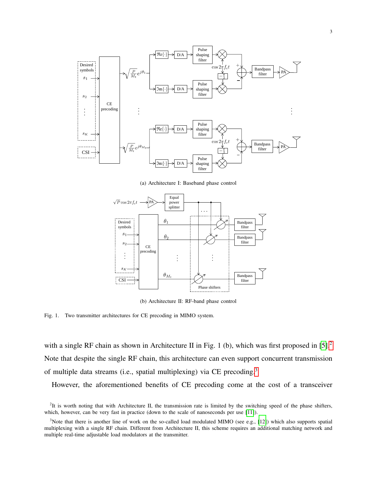

(a) Architecture I: Baseband phase control



(b) Architecture II: RF-band phase control

<span id="page-2-0"></span>Fig. 1. Two transmitter architectures for CE precoding in MIMO system.

with a single RF chain as shown in Architecture II in Fig. 1 (b), which was first proposed in [\[5\]](#page-28-2).<sup>[2](#page-0-0)</sup> Note that despite the single RF chain, this architecture can even support concurrent transmission of multiple data streams (i.e., spatial multiplexing) via CE precoding.[3](#page-0-0)

However, the aforementioned benefits of CE precoding come at the cost of a transceiver

 ${}^{2}$ It is worth noting that with Architecture II, the transmission rate is limited by the switching speed of the phase shifters, which, however, can be very fast in practice (down to the scale of nanoseconds per use [\[11\]](#page-29-2)).

 $3$ Note that there is another line of work on the so-called load modulated MIMO (see e.g., [\[12\]](#page-29-3)) which also supports spatial multiplexing with a single RF chain. Different from Architecture II, this scheme requires an additional matching network and multiple real-time adjustable load modulators at the transmitter.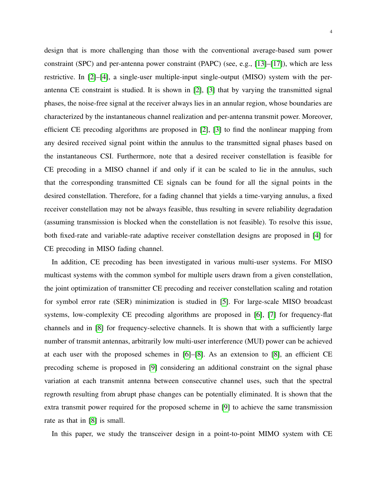design that is more challenging than those with the conventional average-based sum power constraint (SPC) and per-antenna power constraint (PAPC) (see, e.g., [\[13\]](#page-29-4)–[\[17\]](#page-29-5)), which are less restrictive. In [\[2\]](#page-28-1)–[\[4\]](#page-28-3), a single-user multiple-input single-output (MISO) system with the perantenna CE constraint is studied. It is shown in [\[2\]](#page-28-1), [\[3\]](#page-28-4) that by varying the transmitted signal phases, the noise-free signal at the receiver always lies in an annular region, whose boundaries are characterized by the instantaneous channel realization and per-antenna transmit power. Moreover, efficient CE precoding algorithms are proposed in [\[2\]](#page-28-1), [\[3\]](#page-28-4) to find the nonlinear mapping from any desired received signal point within the annulus to the transmitted signal phases based on the instantaneous CSI. Furthermore, note that a desired receiver constellation is feasible for CE precoding in a MISO channel if and only if it can be scaled to lie in the annulus, such that the corresponding transmitted CE signals can be found for all the signal points in the desired constellation. Therefore, for a fading channel that yields a time-varying annulus, a fixed receiver constellation may not be always feasible, thus resulting in severe reliability degradation (assuming transmission is blocked when the constellation is not feasible). To resolve this issue, both fixed-rate and variable-rate adaptive receiver constellation designs are proposed in [\[4\]](#page-28-3) for CE precoding in MISO fading channel.

In addition, CE precoding has been investigated in various multi-user systems. For MISO multicast systems with the common symbol for multiple users drawn from a given constellation, the joint optimization of transmitter CE precoding and receiver constellation scaling and rotation for symbol error rate (SER) minimization is studied in [\[5\]](#page-28-2). For large-scale MISO broadcast systems, low-complexity CE precoding algorithms are proposed in [\[6\]](#page-28-5), [\[7\]](#page-28-6) for frequency-flat channels and in [\[8\]](#page-29-6) for frequency-selective channels. It is shown that with a sufficiently large number of transmit antennas, arbitrarily low multi-user interference (MUI) power can be achieved at each user with the proposed schemes in [\[6\]](#page-28-5)–[\[8\]](#page-29-6). As an extension to [\[8\]](#page-29-6), an efficient CE precoding scheme is proposed in [\[9\]](#page-29-0) considering an additional constraint on the signal phase variation at each transmit antenna between consecutive channel uses, such that the spectral regrowth resulting from abrupt phase changes can be potentially eliminated. It is shown that the extra transmit power required for the proposed scheme in [\[9\]](#page-29-0) to achieve the same transmission rate as that in [\[8\]](#page-29-6) is small.

In this paper, we study the transceiver design in a point-to-point MIMO system with CE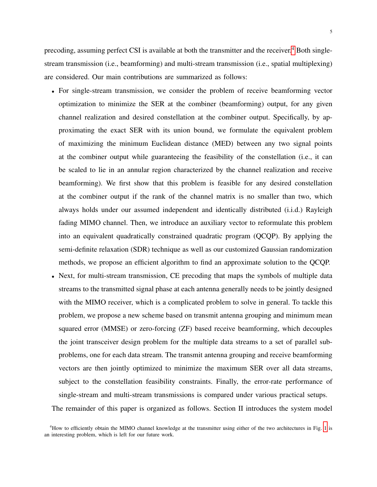5

precoding, assuming perfect CSI is available at both the transmitter and the receiver.<sup>[4](#page-0-0)</sup> Both singlestream transmission (i.e., beamforming) and multi-stream transmission (i.e., spatial multiplexing) are considered. Our main contributions are summarized as follows:

- For single-stream transmission, we consider the problem of receive beamforming vector optimization to minimize the SER at the combiner (beamforming) output, for any given channel realization and desired constellation at the combiner output. Specifically, by approximating the exact SER with its union bound, we formulate the equivalent problem of maximizing the minimum Euclidean distance (MED) between any two signal points at the combiner output while guaranteeing the feasibility of the constellation (i.e., it can be scaled to lie in an annular region characterized by the channel realization and receive beamforming). We first show that this problem is feasible for any desired constellation at the combiner output if the rank of the channel matrix is no smaller than two, which always holds under our assumed independent and identically distributed (i.i.d.) Rayleigh fading MIMO channel. Then, we introduce an auxiliary vector to reformulate this problem into an equivalent quadratically constrained quadratic program (QCQP). By applying the semi-definite relaxation (SDR) technique as well as our customized Gaussian randomization methods, we propose an efficient algorithm to find an approximate solution to the QCQP.
- Next, for multi-stream transmission, CE precoding that maps the symbols of multiple data streams to the transmitted signal phase at each antenna generally needs to be jointly designed with the MIMO receiver, which is a complicated problem to solve in general. To tackle this problem, we propose a new scheme based on transmit antenna grouping and minimum mean squared error (MMSE) or zero-forcing (ZF) based receive beamforming, which decouples the joint transceiver design problem for the multiple data streams to a set of parallel subproblems, one for each data stream. The transmit antenna grouping and receive beamforming vectors are then jointly optimized to minimize the maximum SER over all data streams, subject to the constellation feasibility constraints. Finally, the error-rate performance of single-stream and multi-stream transmissions is compared under various practical setups.

The remainder of this paper is organized as follows. Section II introduces the system model

<sup>&</sup>lt;sup>4</sup>How to efficiently obtain the MIMO channel knowledge at the transmitter using either of the two architectures in Fig. [1](#page-2-0) is an interesting problem, which is left for our future work.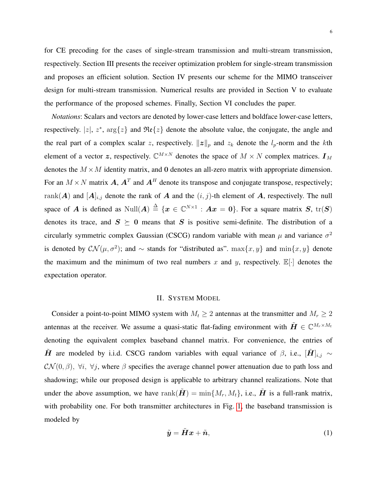for CE precoding for the cases of single-stream transmission and multi-stream transmission, respectively. Section III presents the receiver optimization problem for single-stream transmission and proposes an efficient solution. Section IV presents our scheme for the MIMO transceiver design for multi-stream transmission. Numerical results are provided in Section V to evaluate the performance of the proposed schemes. Finally, Section VI concludes the paper.

*Notations*: Scalars and vectors are denoted by lower-case letters and boldface lower-case letters, respectively. |z|,  $z^*$ ,  $\arg\{z\}$  and  $\Re$ e $\{z\}$  denote the absolute value, the conjugate, the angle and the real part of a complex scalar z, respectively.  $||z||_p$  and  $z_k$  denote the  $l_p$ -norm and the kth element of a vector z, respectively.  $\mathbb{C}^{M \times N}$  denotes the space of  $M \times N$  complex matrices.  $\mathbf{I}_M$ denotes the  $M \times M$  identity matrix, and 0 denotes an all-zero matrix with appropriate dimension. For an  $M \times N$  matrix A,  $A<sup>T</sup>$  and  $A<sup>H</sup>$  denote its transpose and conjugate transpose, respectively; rank(A) and  $[A]_{i,j}$  denote the rank of A and the  $(i, j)$ -th element of A, respectively. The null space of A is defined as  $\text{Null}(A) \triangleq \{x \in \mathbb{C}^{N \times 1} : Ax = 0\}$ . For a square matrix S,  $\text{tr}(S)$ denotes its trace, and  $S \succeq 0$  means that S is positive semi-definite. The distribution of a circularly symmetric complex Gaussian (CSCG) random variable with mean  $\mu$  and variance  $\sigma^2$ is denoted by  $\mathcal{CN}(\mu, \sigma^2)$ ; and  $\sim$  stands for "distributed as".  $\max\{x, y\}$  and  $\min\{x, y\}$  denote the maximum and the minimum of two real numbers x and y, respectively.  $\mathbb{E}[\cdot]$  denotes the expectation operator.

### II. SYSTEM MODEL

Consider a point-to-point MIMO system with  $M_t \geq 2$  antennas at the transmitter and  $M_r \geq 2$ antennas at the receiver. We assume a quasi-static flat-fading environment with  $\tilde{\bm{H}} \in \mathbb{C}^{M_r \times M_t}$ denoting the equivalent complex baseband channel matrix. For convenience, the entries of  $\tilde{H}$  are modeled by i.i.d. CSCG random variables with equal variance of  $\beta$ , i.e.,  $[\tilde{H}]_{i,j} \sim$  $\mathcal{CN}(0,\beta)$ ,  $\forall i$ ,  $\forall j$ , where  $\beta$  specifies the average channel power attenuation due to path loss and shadowing; while our proposed design is applicable to arbitrary channel realizations. Note that under the above assumption, we have rank $(\tilde{\boldsymbol{H}}) = \min\{M_r, M_t\}$ , i.e.,  $\tilde{\boldsymbol{H}}$  is a full-rank matrix, with probability one. For both transmitter architectures in Fig. [1,](#page-2-0) the baseband transmission is modeled by

<span id="page-5-0"></span>
$$
\tilde{\mathbf{y}} = \tilde{\mathbf{H}}\mathbf{x} + \tilde{\mathbf{n}},\tag{1}
$$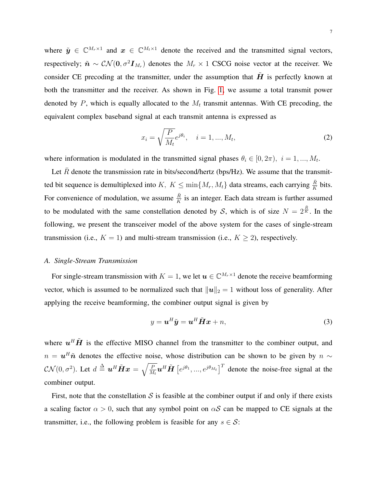where  $\tilde{y} \in \mathbb{C}^{M_r \times 1}$  and  $x \in \mathbb{C}^{M_t \times 1}$  denote the received and the transmitted signal vectors, respectively;  $\tilde{n} \sim \mathcal{CN}(0, \sigma^2 I_{M_r})$  denotes the  $M_r \times 1$  CSCG noise vector at the receiver. We consider CE precoding at the transmitter, under the assumption that  $H$  is perfectly known at both the transmitter and the receiver. As shown in Fig. [1,](#page-2-0) we assume a total transmit power denoted by P, which is equally allocated to the  $M_t$  transmit antennas. With CE precoding, the equivalent complex baseband signal at each transmit antenna is expressed as

$$
x_i = \sqrt{\frac{P}{M_t}} e^{j\theta_i}, \quad i = 1, ..., M_t,
$$
\n(2)

where information is modulated in the transmitted signal phases  $\theta_i \in [0, 2\pi)$ ,  $i = 1, ..., M_t$ .

Let  $\bar{R}$  denote the transmission rate in bits/second/hertz (bps/Hz). We assume that the transmitted bit sequence is demultiplexed into  $K, K \leq \min\{M_r, M_t\}$  data streams, each carrying  $\frac{\bar{R}}{K}$  bits. For convenience of modulation, we assume  $\frac{\overline{R}}{K}$  is an integer. Each data stream is further assumed to be modulated with the same constellation denoted by S, which is of size  $N = 2^{\frac{\bar{R}}{K}}$ . In the following, we present the transceiver model of the above system for the cases of single-stream transmission (i.e.,  $K = 1$ ) and multi-stream transmission (i.e.,  $K \geq 2$ ), respectively.

## *A. Single-Stream Transmission*

For single-stream transmission with  $K = 1$ , we let  $\mathbf{u} \in \mathbb{C}^{M_r \times 1}$  denote the receive beamforming vector, which is assumed to be normalized such that  $||u||_2 = 1$  without loss of generality. After applying the receive beamforming, the combiner output signal is given by

<span id="page-6-0"></span>
$$
y = \boldsymbol{u}^H \tilde{\boldsymbol{y}} = \boldsymbol{u}^H \tilde{\boldsymbol{H}} \boldsymbol{x} + n,\tag{3}
$$

where  $u^H \tilde{H}$  is the effective MISO channel from the transmitter to the combiner output, and  $n = \mathbf{u}^H \tilde{\mathbf{n}}$  denotes the effective noise, whose distribution can be shown to be given by  $n \sim$  $\mathcal{CN}(0, \sigma^2)$ . Let  $d \triangleq \boldsymbol{u}^H \tilde{\boldsymbol{H}} \boldsymbol{x} = \sqrt{\frac{P}{M}}$  $\frac{P}{M_t}$ **u**<sup>H</sup> $\tilde{H}$  [ $e^{j\theta_1}, ..., e^{j\theta_{M_t}}$ ]<sup>T</sup> denote the noise-free signal at the combiner output.

First, note that the constellation  $S$  is feasible at the combiner output if and only if there exists a scaling factor  $\alpha > 0$ , such that any symbol point on  $\alpha S$  can be mapped to CE signals at the transmitter, i.e., the following problem is feasible for any  $s \in \mathcal{S}$ :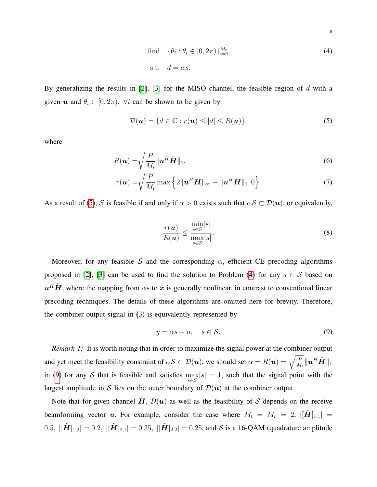<span id="page-7-1"></span>find 
$$
\{\theta_i : \theta_i \in [0, 2\pi)\}_{i=1}^{M_t}
$$
 (4)  
s.t. 
$$
d = \alpha s.
$$

By generalizing the results in  $[2]$ ,  $[3]$  for the MISO channel, the feasible region of d with a given u and  $\theta_i \in [0, 2\pi)$ ,  $\forall i$  can be shown to be given by

<span id="page-7-0"></span>
$$
\mathcal{D}(\boldsymbol{u}) = \{ d \in \mathbb{C} : r(\boldsymbol{u}) \le |d| \le R(\boldsymbol{u}) \},\tag{5}
$$

where

$$
R(\boldsymbol{u}) = \sqrt{\frac{P}{M_t}} \|\boldsymbol{u}^H\tilde{\boldsymbol{H}}\|_1,
$$
\n(6)

$$
r(\boldsymbol{u}) = \sqrt{\frac{P}{M_t}} \max \left\{ 2\|\boldsymbol{u}^H \tilde{\boldsymbol{H}}\|_{\infty} - \|\boldsymbol{u}^H \tilde{\boldsymbol{H}}\|_{1}, 0 \right\}.
$$
 (7)

As a result of [\(5\)](#page-7-0), S is feasible if and only if  $\alpha > 0$  exists such that  $\alpha S \subset \mathcal{D}(u)$ , or equivalently,

<span id="page-7-3"></span>
$$
\frac{r(\boldsymbol{u})}{R(\boldsymbol{u})} \le \frac{\min_{s \in \mathcal{S}} |s|}{\max_{s \in \mathcal{S}} |s|}.
$$
\n(8)

Moreover, for any feasible S and the corresponding  $\alpha$ , efficient CE precoding algorithms proposed in [\[2\]](#page-28-1), [\[3\]](#page-28-4) can be used to find the solution to Problem [\(4\)](#page-7-1) for any  $s \in S$  based on  $u<sup>H</sup> \tilde{H}$ , where the mapping from  $\alpha s$  to  $x$  is generally nonlinear, in contrast to conventional linear precoding techniques. The details of these algorithms are omitted here for brevity. Therefore, the combiner output signal in [\(3\)](#page-6-0) is equivalently represented by

<span id="page-7-2"></span>
$$
y = \alpha s + n, \quad s \in \mathcal{S}.\tag{9}
$$

*Remark 1:* It is worth noting that in order to maximize the signal power at the combiner output and yet meet the feasibility constraint of  $\alpha S \subset \mathcal{D}(\bm u),$  we should set  $\alpha = R(\bm u) = \sqrt{\frac{P}{M_t}} \|\bm u^H\tilde{\bm H}\|_1$ in [\(9\)](#page-7-2) for any S that is feasible and satisfies  $\max_{s \in S} |s| = 1$ , such that the signal point with the largest amplitude in S lies on the outer boundary of  $\mathcal{D}(u)$  at the combiner output.

Note that for given channel H,  $\mathcal{D}(u)$  as well as the feasibility of S depends on the receive beamforming vector u. For example, consider the case where  $M_t = M_r = 2$ ,  $\left|\left[\mathbf{H}\right]_{1,1}\right|$  = 0.5,  $||\tilde{H}||_{1,2}| = 0.2$ ,  $||\tilde{H}||_{2,1}| = 0.35$ ,  $||\tilde{H}||_{2,2}| = 0.25$ , and S is a 16-QAM (quadrature amplitude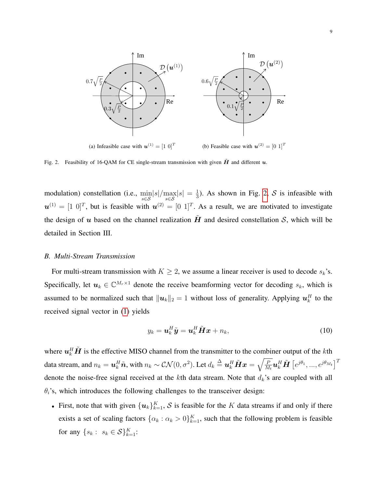

<span id="page-8-0"></span>Fig. 2. Feasibility of 16-QAM for CE single-stream transmission with given  $\tilde{H}$  and different  $u$ .

modulation) constellation (i.e.,  $\min_{s \in S} |s| / \max_{s \in S} |s| = \frac{1}{3}$  $\frac{1}{3}$ ). As shown in Fig. [2,](#page-8-0) S is infeasible with  $u^{(1)} = [1 \ 0]^T$ , but is feasible with  $u^{(2)} = [0 \ 1]^T$ . As a result, we are motivated to investigate the design of u based on the channel realization  $\hat{H}$  and desired constellation S, which will be detailed in Section III.

## *B. Multi-Stream Transmission*

For multi-stream transmission with  $K \geq 2$ , we assume a linear receiver is used to decode  $s_k$ 's. Specifically, let  $u_k \in \mathbb{C}^{M_r \times 1}$  denote the receive beamforming vector for decoding  $s_k$ , which is assumed to be normalized such that  $||u_k||_2 = 1$  without loss of generality. Applying  $u_k^H$  to the received signal vector in [\(1\)](#page-5-0) yields

<span id="page-8-1"></span>
$$
y_k = \boldsymbol{u}_k^H \tilde{\boldsymbol{y}} = \boldsymbol{u}_k^H \tilde{\boldsymbol{H}} \boldsymbol{x} + n_k,
$$
\n(10)

where  $u_k^H \tilde{H}$  is the effective MISO channel from the transmitter to the combiner output of the *k*th data stream, and  $n_k=\bm{u}_k^H\tilde{\bm{n}},$  with  $n_k\sim \mathcal{CN}(0,\sigma^2).$  Let  $d_k\stackrel{\Delta}{=}\bm{u}_k^H\tilde{\bm{H}}\bm{x}=\sqrt{\frac{P}{M}}$  $\overline{\frac{P}{M_t}} \bm{u}_k^H \tilde{\bm{H}} \left[ e^{j\theta_1},...,e^{j\theta_{M_t}} \right]^T$ denote the noise-free signal received at the kth data stream. Note that  $d_k$ 's are coupled with all  $\theta_i$ 's, which introduces the following challenges to the transceiver design:

• First, note that with given  ${u_k}_{k=1}^K$ , S is feasible for the K data streams if and only if there exists a set of scaling factors  $\{\alpha_k : \alpha_k > 0\}_{k=1}^K$ , such that the following problem is feasible for any  $\{s_k: s_k \in S\}_{k=1}^K$ :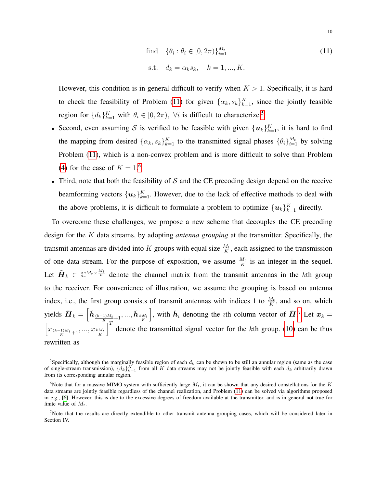<span id="page-9-0"></span>find 
$$
\{\theta_i : \theta_i \in [0, 2\pi)\}_{i=1}^{M_t}
$$
  
s.t.  $d_k = \alpha_k s_k$ ,  $k = 1, ..., K$ . (11)

However, this condition is in general difficult to verify when  $K > 1$ . Specifically, it is hard to check the feasibility of Problem [\(11\)](#page-9-0) for given  $\{\alpha_k, s_k\}_{k=1}^K$ , since the jointly feasible region for  $\{d_k\}_{k=1}^K$  with  $\theta_i \in [0, 2\pi)$ ,  $\forall i$  is difficult to characterize.<sup>[5](#page-0-0)</sup>

- Second, even assuming S is verified to be feasible with given  ${u_k}_{k=1}^K$ , it is hard to find the mapping from desired  $\{\alpha_k, s_k\}_{k=1}^K$  to the transmitted signal phases  $\{\theta_i\}_{i=1}^{M_t}$  by solving Problem [\(11\)](#page-9-0), which is a non-convex problem and is more difficult to solve than Problem [\(4\)](#page-7-1) for the case of  $K = 1.6$  $K = 1.6$
- Third, note that both the feasibility of  $S$  and the CE precoding design depend on the receive beamforming vectors  $\{{\boldsymbol u}_k\}_{k=1}^K$ . However, due to the lack of effective methods to deal with the above problems, it is difficult to formulate a problem to optimize  $\{u_k\}_{k=1}^K$  directly.

To overcome these challenges, we propose a new scheme that decouples the CE precoding design for the K data streams, by adopting *antenna grouping* at the transmitter. Specifically, the transmit antennas are divided into K groups with equal size  $\frac{M_t}{K}$ , each assigned to the transmission of one data stream. For the purpose of exposition, we assume  $\frac{M_t}{K}$  is an integer in the sequel. Let  $\tilde{H}_k \in \mathbb{C}^{M_r \times \frac{M_t}{K}}$  denote the channel matrix from the transmit antennas in the kth group to the receiver. For convenience of illustration, we assume the grouping is based on antenna index, i.e., the first group consists of transmit antennas with indices 1 to  $\frac{M_t}{K}$ , and so on, which yields  $\tilde{\bm{H}}_k = \left[\tilde{\bm{h}}_{\frac{(k-1)M_t}{K}+1}, ..., \tilde{\bm{h}}_{\frac{kM_t}{K}}\right]$ , with  $\tilde{h}_i$  denoting the *i*th column vector of  $\tilde{H}$ .<sup>[7](#page-0-0)</sup> Let  $x_k =$  $\left[ x_{\frac{(k-1)M_t}{K}+1},...,x_{\frac{kM_t}{K}} \right]$  $\int_0^T$  denote the transmitted signal vector for the kth group. [\(10\)](#page-8-1) can be thus rewritten as

<sup>&</sup>lt;sup>5</sup>Specifically, although the marginally feasible region of each  $d_k$  can be shown to be still an annular region (same as the case of single-stream transmission),  $\{d_k\}_{k=1}^K$  from all K data streams may not be jointly feasible with each  $d_k$  arbitrarily drawn from its corresponding annular region.

<sup>&</sup>lt;sup>6</sup>Note that for a massive MIMO system with sufficiently large  $M_t$ , it can be shown that any desired constellations for the K data streams are jointly feasible regardless of the channel realization, and Problem [\(11\)](#page-9-0) can be solved via algorithms proposed in e.g., [\[6\]](#page-28-5). However, this is due to the excessive degrees of freedom available at the transmitter, and is in general not true for finite value of  $M_t$ .

<sup>7</sup>Note that the results are directly extendible to other transmit antenna grouping cases, which will be considered later in Section IV.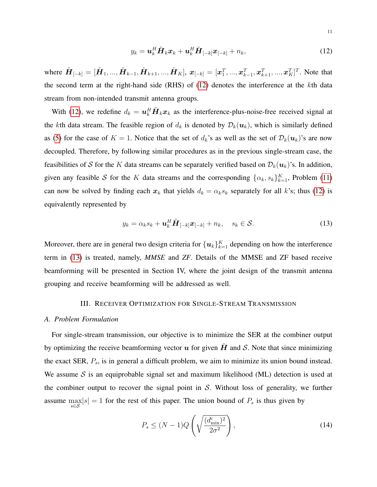<span id="page-10-0"></span>
$$
y_k = \boldsymbol{u}_k^H \tilde{\boldsymbol{H}}_k \boldsymbol{x}_k + \boldsymbol{u}_k^H \tilde{\boldsymbol{H}}_{[-k]} \boldsymbol{x}_{[-k]} + n_k, \qquad (12)
$$

where  $\tilde{\bm{H}}_{[-k]} = [\tilde{\bm{H}}_1, ..., \tilde{\bm{H}}_{k-1}, \tilde{\bm{H}}_{k+1}, ..., \tilde{\bm{H}}_K], \ \bm{x}_{[-k]} = [\bm{x}_1^T, ..., \bm{x}_{k-1}^T, \bm{x}_{k+1}^T, ..., \bm{x}_K^T]^T$ . Note that the second term at the right-hand side (RHS) of [\(12\)](#page-10-0) denotes the interference at the kth data stream from non-intended transmit antenna groups.

With [\(12\)](#page-10-0), we redefine  $d_k = \mathbf{u}_k^H \tilde{\mathbf{H}}_k \mathbf{x}_k$  as the interference-plus-noise-free received signal at the kth data stream. The feasible region of  $d_k$  is denoted by  $\mathcal{D}_k(\boldsymbol{u}_k)$ , which is similarly defined as [\(5\)](#page-7-0) for the case of  $K = 1$ . Notice that the set of  $d_k$ 's as well as the set of  $\mathcal{D}_k(u_k)$ 's are now decoupled. Therefore, by following similar procedures as in the previous single-stream case, the feasibilities of S for the K data streams can be separately verified based on  $\mathcal{D}_k(u_k)$ 's. In addition, given any feasible S for the K data streams and the corresponding  $\{\alpha_k, s_k\}_{k=1}^K$ , Problem [\(11\)](#page-9-0) can now be solved by finding each  $x_k$  that yields  $d_k = \alpha_k s_k$  separately for all k's; thus [\(12\)](#page-10-0) is equivalently represented by

<span id="page-10-1"></span>
$$
y_k = \alpha_k s_k + \mathbf{u}_k^H \tilde{\mathbf{H}}_{[-k]} \mathbf{x}_{[-k]} + n_k, \quad s_k \in \mathcal{S}.
$$
 (13)

Moreover, there are in general two design criteria for  $\{u_k\}_{k=1}^K$  depending on how the interference term in [\(13\)](#page-10-1) is treated, namely, *MMSE* and *ZF*. Details of the MMSE and ZF based receive beamforming will be presented in Section IV, where the joint design of the transmit antenna grouping and receive beamforming will be addressed as well.

# III. RECEIVER OPTIMIZATION FOR SINGLE-STREAM TRANSMISSION

#### *A. Problem Formulation*

For single-stream transmission, our objective is to minimize the SER at the combiner output by optimizing the receive beamforming vector  $u$  for given  $H$  and  $S$ . Note that since minimizing the exact SER,  $P_s$ , is in general a difficult problem, we aim to minimize its union bound instead. We assume S is an equiprobable signal set and maximum likelihood (ML) detection is used at the combiner output to recover the signal point in  $S$ . Without loss of generality, we further assume  $\max_{s \in \mathcal{S}} |s| = 1$  for the rest of this paper. The union bound of  $P_s$  is thus given by

<span id="page-10-2"></span>
$$
P_s \le (N-1)Q\left(\sqrt{\frac{(d_{\min}^c)^2}{2\sigma^2}}\right),\tag{14}
$$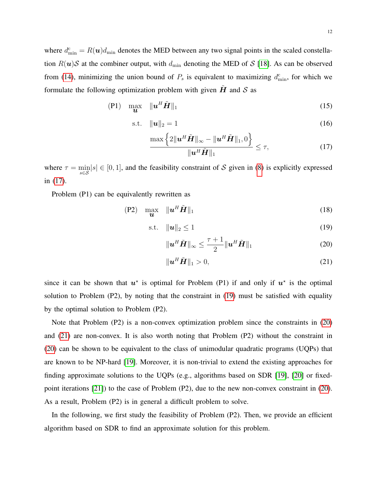<span id="page-11-0"></span>12

where  $d_{\min}^c = R(\boldsymbol{u})d_{\min}$  denotes the MED between any two signal points in the scaled constellation  $R(u)$ S at the combiner output, with  $d_{\min}$  denoting the MED of S [\[18\]](#page-29-7). As can be observed from [\(14\)](#page-10-2), minimizing the union bound of  $P_s$  is equivalent to maximizing  $d_{\min}^c$ , for which we formulate the following optimization problem with given  $\hat{H}$  and  $\hat{S}$  as

$$
(P1) \quad \max_{\mathbf{u}} \quad \|\mathbf{u}^H \tilde{\mathbf{H}}\|_1 \tag{15}
$$

$$
\text{s.t.} \quad \|\boldsymbol{u}\|_2 = 1 \tag{16}
$$

$$
\frac{\max\left\{2\|\mathbf{u}^H\tilde{\mathbf{H}}\|_{\infty}-\|\mathbf{u}^H\tilde{\mathbf{H}}\|_1,0\right\}}{\|\mathbf{u}^H\tilde{\mathbf{H}}\|_1} \leq \tau,
$$
\n(17)

where  $\tau = \min_{s \in S} |s| \in [0, 1]$ , and the feasibility constraint of S given in [\(8\)](#page-7-3) is explicitly expressed in [\(17\)](#page-11-0).

Problem (P1) can be equivalently rewritten as

$$
(P2) \quad \max_{\mathbf{u}} \quad \|\mathbf{u}^H \tilde{\mathbf{H}}\|_1 \tag{18}
$$

$$
\text{s.t.} \quad \|\boldsymbol{u}\|_2 \le 1 \tag{19}
$$

<span id="page-11-2"></span><span id="page-11-1"></span>
$$
\|\boldsymbol{u}^H\tilde{\boldsymbol{H}}\|_{\infty} \leq \frac{\tau+1}{2} \|\boldsymbol{u}^H\tilde{\boldsymbol{H}}\|_1
$$
 (20)

<span id="page-11-3"></span>
$$
\|\boldsymbol{u}^H\tilde{\boldsymbol{H}}\|_1 > 0,\tag{21}
$$

since it can be shown that  $u^*$  is optimal for Problem (P1) if and only if  $u^*$  is the optimal solution to Problem (P2), by noting that the constraint in [\(19\)](#page-11-1) must be satisfied with equality by the optimal solution to Problem (P2).

Note that Problem (P2) is a non-convex optimization problem since the constraints in [\(20\)](#page-11-2) and [\(21\)](#page-11-3) are non-convex. It is also worth noting that Problem (P2) without the constraint in [\(20\)](#page-11-2) can be shown to be equivalent to the class of unimodular quadratic programs (UQPs) that are known to be NP-hard [\[19\]](#page-29-8). Moreover, it is non-trivial to extend the existing approaches for finding approximate solutions to the UQPs (e.g., algorithms based on SDR [\[19\]](#page-29-8), [\[20\]](#page-29-9) or fixedpoint iterations [\[21\]](#page-29-10)) to the case of Problem (P2), due to the new non-convex constraint in [\(20\)](#page-11-2). As a result, Problem (P2) is in general a difficult problem to solve.

In the following, we first study the feasibility of Problem (P2). Then, we provide an efficient algorithm based on SDR to find an approximate solution for this problem.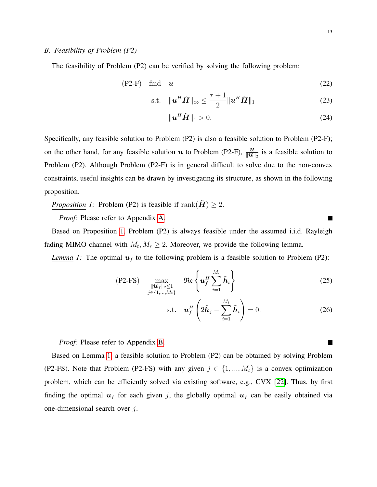## *B. Feasibility of Problem (P2)*

The feasibility of Problem (P2) can be verified by solving the following problem:

$$
(P2-F) \quad \text{find} \quad u \tag{22}
$$

$$
\text{s.t.} \quad \|\boldsymbol{u}^H \tilde{\boldsymbol{H}}\|_{\infty} \leq \frac{\tau + 1}{2} \|\boldsymbol{u}^H \tilde{\boldsymbol{H}}\|_{1} \tag{23}
$$

$$
\|\mathbf{u}^H\tilde{\mathbf{H}}\|_1 > 0. \tag{24}
$$

Specifically, any feasible solution to Problem (P2) is also a feasible solution to Problem (P2-F); on the other hand, for any feasible solution u to Problem (P2-F),  $\frac{u}{\|u\|_2}$  is a feasible solution to Problem (P2). Although Problem (P2-F) is in general difficult to solve due to the non-convex constraints, useful insights can be drawn by investigating its structure, as shown in the following proposition.

<span id="page-12-0"></span>*Proposition 1:* Problem (P2) is feasible if  $\text{rank}(\tilde{\mathbf{H}}) \geq 2$ .

*Proof:* Please refer to Appendix [A.](#page-26-0)

Based on Proposition [1,](#page-12-0) Problem (P2) is always feasible under the assumed i.i.d. Rayleigh fading MIMO channel with  $M_t, M_r \geq 2$ . Moreover, we provide the following lemma.

<span id="page-12-1"></span>*Lemma 1:* The optimal  $u_f$  to the following problem is a feasible solution to Problem (P2):

$$
\text{(P2-FS)} \quad \max_{\substack{\| \boldsymbol{u}_f \|_2 \leq 1 \\ j \in \{1, \dots, M_t\}}} \quad \Re \{ \boldsymbol{u}_f^H \sum_{i=1}^{M_t} \tilde{\boldsymbol{h}}_i \} \tag{25}
$$

$$
\text{s.t.} \quad \mathbf{u}_f^H \left( 2\tilde{\mathbf{h}}_j - \sum_{i=1}^{M_t} \tilde{\mathbf{h}}_i \right) = 0. \tag{26}
$$

*Proof:* Please refer to Appendix [B.](#page-27-0)

Based on Lemma [1,](#page-12-1) a feasible solution to Problem (P2) can be obtained by solving Problem (P2-FS). Note that Problem (P2-FS) with any given  $j \in \{1, ..., M_t\}$  is a convex optimization problem, which can be efficiently solved via existing software, e.g., CVX [\[22\]](#page-29-11). Thus, by first finding the optimal  $u_f$  for each given j, the globally optimal  $u_f$  can be easily obtained via one-dimensional search over  $j$ .

<span id="page-12-3"></span><span id="page-12-2"></span> $\blacksquare$ 

<span id="page-12-4"></span> $\blacksquare$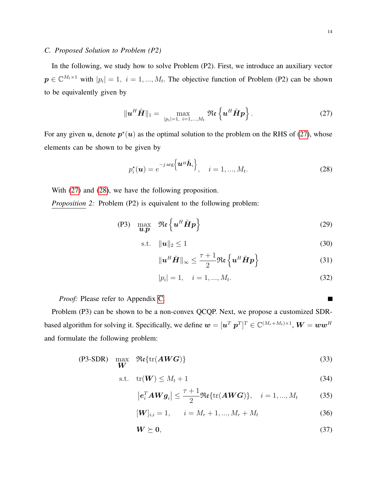# *C. Proposed Solution to Problem (P2)*

In the following, we study how to solve Problem (P2). First, we introduce an auxiliary vector  $p \in \mathbb{C}^{M_t \times 1}$  with  $|p_i| = 1, i = 1, ..., M_t$ . The objective function of Problem (P2) can be shown to be equivalently given by

<span id="page-13-0"></span>
$$
\|\boldsymbol{u}^H\tilde{\boldsymbol{H}}\|_1 = \max_{|p_i|=1, i=1,\dots,M_t} \Re\left\{\boldsymbol{u}^H\tilde{\boldsymbol{H}}\boldsymbol{p}\right\}.
$$
 (27)

For any given u, denote  $p^*(u)$  as the optimal solution to the problem on the RHS of [\(27\)](#page-13-0), whose elements can be shown to be given by

<span id="page-13-2"></span>
$$
p_i^{\star}(\boldsymbol{u}) = e^{-j \arg \left\{ \boldsymbol{u}^H \tilde{\boldsymbol{h}}_i \right\}}, \quad i = 1, ..., M_t.
$$
 (28)

With [\(27\)](#page-13-0) and [\(28\)](#page-13-1), we have the following proposition.

*Proposition 2:* Problem (P2) is equivalent to the following problem:

$$
(P3) \quad \max_{\mathbf{u}, \mathbf{p}} \quad \Re \mathfrak{e} \left\{ \mathbf{u}^H \tilde{\mathbf{H}} \mathbf{p} \right\} \tag{29}
$$

$$
\text{s.t.} \quad \|\boldsymbol{u}\|_2 \le 1 \tag{30}
$$

$$
\|\boldsymbol{u}^H\tilde{\boldsymbol{H}}\|_{\infty} \leq \frac{\tau+1}{2} \Re\left\{\boldsymbol{u}^H\tilde{\boldsymbol{H}}\boldsymbol{p}\right\} \tag{31}
$$

$$
|p_i| = 1, \quad i = 1, ..., M_t.
$$
\n(32)

*Proof:* Please refer to Appendix [C.](#page-27-1)

Problem (P3) can be shown to be a non-convex QCQP. Next, we propose a customized SDRbased algorithm for solving it. Specifically, we define  $\bm{w} = [\bm{u}^T~\bm{p}^T]^T \in \mathbb{C}^{(M_r+M_t)\times 1}$ ,  $\bm{W} = \bm{w}\bm{w}^H$ and formulate the following problem:

$$
\begin{array}{ll}\n\text{(P3-SDR)} & \text{max} & \Re\{\text{tr}(\mathbf{A}\mathbf{W}\mathbf{G})\}\n\end{array} \tag{33}
$$

$$
\text{s.t.} \quad \text{tr}(\boldsymbol{W}) \le M_t + 1 \tag{34}
$$

$$
\left|\boldsymbol{e}_i^T \mathbf{A} \mathbf{W} \boldsymbol{g}_i\right| \le \frac{\tau+1}{2} \Re \{\text{tr}(\mathbf{A} \mathbf{W} \mathbf{G})\}, \quad i = 1, ..., M_t \tag{35}
$$

$$
[\mathbf{W}]_{i,i} = 1, \qquad i = M_r + 1, ..., M_r + M_t \tag{36}
$$

$$
W \succeq 0,\tag{37}
$$

<span id="page-13-1"></span> $\blacksquare$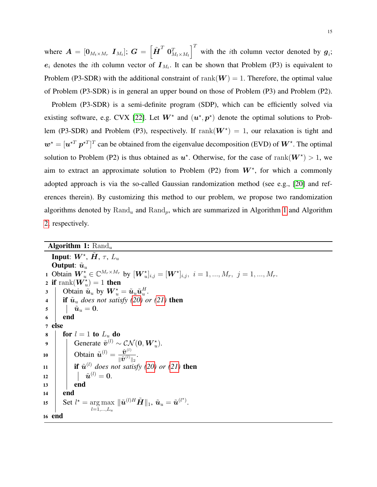where  $\boldsymbol{A} = [\boldsymbol{0}_{M_t \times M_r} \ \boldsymbol{I}_{M_t}]; \ \boldsymbol{G} = \left[\tilde{\boldsymbol{H}}^T \ \boldsymbol{0}_{M_t \times M_t}^T\right]^T$  with the *i*th column vector denoted by  $\boldsymbol{g}_i$ ;  $e_i$  denotes the *i*th column vector of  $I_{M_t}$ . It can be shown that Problem (P3) is equivalent to Problem (P3-SDR) with the additional constraint of rank( $W$ ) = 1. Therefore, the optimal value of Problem (P3-SDR) is in general an upper bound on those of Problem (P3) and Problem (P2).

Problem (P3-SDR) is a semi-definite program (SDP), which can be efficiently solved via existing software, e.g. CVX [\[22\]](#page-29-11). Let  $W^*$  and  $(u^*, p^*)$  denote the optimal solutions to Problem (P3-SDR) and Problem (P3), respectively. If  $\text{rank}(W^*) = 1$ , our relaxation is tight and  $w^* = [u^{*T} p^{*T}]^T$  can be obtained from the eigenvalue decomposition (EVD) of  $W^*$ . The optimal solution to Problem (P2) is thus obtained as  $u^*$ . Otherwise, for the case of rank $(W^*) > 1$ , we aim to extract an approximate solution to Problem (P2) from  $W^*$ , for which a commonly adopted approach is via the so-called Gaussian randomization method (see e.g., [\[20\]](#page-29-9) and references therein). By customizing this method to our problem, we propose two randomization algorithms denoted by  $\text{Rand}_u$  and  $\text{Rand}_p$ , which are summarized in Algorithm [1](#page-14-0) and Algorithm [2,](#page-15-0) respectively.

<span id="page-14-0"></span>

| <b>Algorithm 1:</b> $\text{Rand}_u$                                                                                                                    |
|--------------------------------------------------------------------------------------------------------------------------------------------------------|
| <b>Input:</b> $W^*$ , $H$ , $\tau$ , $L_u$                                                                                                             |
| <b>Output:</b> $\tilde{u}_u$                                                                                                                           |
| 1 Obtain $W_{u}^{\star} \in \mathbb{C}^{M_{r} \times M_{r}}$ by $[W_{u}^{\star}]_{i,j} = [W^{\star}]_{i,j}, i = 1, , M_{r}, j = 1, , M_{r}$ .          |
| 2 if rank $(W_u^*)$ = 1 then                                                                                                                           |
| Obtain $\tilde{\mathbf{u}}_u$ by $\mathbf{W}_u^* = \tilde{\mathbf{u}}_u \tilde{\mathbf{u}}_u^H$ .<br>3 <sup>1</sup>                                    |
| <b>if</b> $\tilde{u}_u$ does not satisfy (20) or (21) then<br>$\overline{\mathbf{4}}$                                                                  |
| $\hat{\bm{u}}_u = \bm{0}.$<br>$\overline{\mathbf{5}}$                                                                                                  |
| end<br>6                                                                                                                                               |
| 7 else                                                                                                                                                 |
| for $l = 1$ to $L_u$ do<br>8                                                                                                                           |
| Generate $\tilde{v}^{(l)} \sim \mathcal{CN}(\mathbf{0}, \mathbf{W}_{u}^{\star}).$<br>$\overline{9}$                                                    |
| Obtain $\tilde{\boldsymbol{u}}^{(l)} = \frac{\tilde{\boldsymbol{v}}^{(l)}}{\ \tilde{\boldsymbol{v}}^{(l)}\ _2}$ .<br>10                                |
| <b>if</b> $\tilde{u}^{(l)}$ does not satisfy (20) or (21) then                                                                                         |
| 11                                                                                                                                                     |
| $\qquad \quad   \quad \tilde{\bm{u}}^{(l)} = \bm{0}.$<br>12                                                                                            |
| end<br>13                                                                                                                                              |
| end<br>14                                                                                                                                              |
| Set $l^* = \arg \max   \tilde{\boldsymbol{u}}^{(l)H} \tilde{\boldsymbol{H}}  _1$ , $\tilde{\boldsymbol{u}}_u = \tilde{\boldsymbol{u}}^{(l^*)}$ .<br>15 |
| $l = 1, , L_u$                                                                                                                                         |
| 16 end                                                                                                                                                 |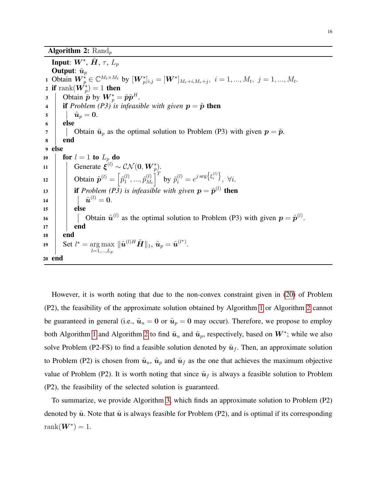<span id="page-15-0"></span>Input:  $\bm{W}^{\star},\, \tilde{\bm{H}},\, \tau,\, L_p$ Output:  $\tilde{u}_p$ 1 Obtain  $\boldsymbol{W}_{p}^{\star} \in \mathbb{C}^{M_t \times M_t}$  by  $[\boldsymbol{W}_{p}^{\star}]_{i,j} = [\boldsymbol{W}^{\star}]_{M_r+i,M_r+j}, i = 1, ..., M_t, j = 1, ..., M_t$ . 2 if  $\mathrm{rank}(\boldsymbol{W}_{p}^{\star})=1$  then 3 | Obtain  $\tilde{p}$  by  $\boldsymbol{W}_{p}^{\star} = \tilde{p}\tilde{p}^{H}$ . 4 **if** *Problem (P3)* is infeasible with given  $p = \tilde{p}$  then  $5 \mid \hat{u}_p = 0.$  $6$  else 7 | | Obtain  $\tilde{u}_p$  as the optimal solution to Problem (P3) with given  $p = \tilde{p}$ . 8 end <sup>9</sup> else 10 **for**  $l = 1$  to  $L_p$  do 11 Generate  $\xi^{(l)} \sim \mathcal{CN}(\mathbf{0}, \boldsymbol{W}_{p}^{\star}).$ 12 | Obtain  $\tilde{\boldsymbol{p}}^{(l)} = \begin{bmatrix} \tilde{p}_1^{(l)} \end{bmatrix}$  $\widetilde{p}^{(l)}_1,...,\widetilde{p}^{(l)}_M$  $\left(\begin{matrix} l\ M_t \end{matrix}\right)^T$  by  $\tilde{p}_i^{(l)}=e^{j\arg\left\{\xi_i^{(l)}\right\}},\ \forall i.$ 13 **if** *Problem (P3)* is infeasible with given  $p = \tilde{p}^{(l)}$  then <sup>14</sup> u˜ (l) = 0.  $15$  else 16  $\parallel$   $\parallel$  Obtain  $\tilde{u}^{(l)}$  as the optimal solution to Problem (P3) with given  $p = \tilde{p}^{(l)}$ .  $17$  end <sup>18</sup> end 19 Set  $l^* = \arg \max$  $_{l=1,...,L_p}$  $\|\tilde{\bm{u}}^{(l)H}\tilde{\bm{H}}\|_1,\,\tilde{\bm{u}}_p=\tilde{\bm{u}}^{(l^\star)}.$ <sup>20</sup> end

However, it is worth noting that due to the non-convex constraint given in [\(20\)](#page-11-2) of Problem (P2), the feasibility of the approximate solution obtained by Algorithm [1](#page-14-0) or Algorithm [2](#page-15-0) cannot be guaranteed in general (i.e.,  $\tilde{u}_u = 0$  or  $\tilde{u}_p = 0$  may occur). Therefore, we propose to employ both Algorithm [1](#page-14-0) and Algorithm [2](#page-15-0) to find  $\tilde{u}_u$  and  $\tilde{u}_p$ , respectively, based on  $W^*$ ; while we also solve Problem (P2-FS) to find a feasible solution denoted by  $\tilde{u}_f$ . Then, an approximate solution to Problem (P2) is chosen from  $\tilde{u}_u$ ,  $\tilde{u}_p$  and  $\tilde{u}_f$  as the one that achieves the maximum objective value of Problem (P2). It is worth noting that since  $\tilde{u}_f$  is always a feasible solution to Problem (P2), the feasibility of the selected solution is guaranteed.

To summarize, we provide Algorithm [3,](#page-16-0) which finds an approximate solution to Problem (P2) denoted by  $\tilde{u}$ . Note that  $\tilde{u}$  is always feasible for Problem (P2), and is optimal if its corresponding  $rank(\boldsymbol{W}^{\star})=1.$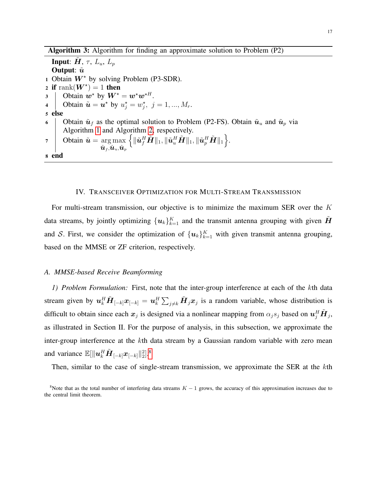Algorithm 3: Algorithm for finding an approximate solution to Problem (P2)

<span id="page-16-0"></span>**Input:**  $H$ ,  $\tau$ ,  $L_u$ ,  $L_p$ Output:  $\tilde{u}$ 1 Obtain  $W^*$  by solving Problem (P3-SDR). 2 if  $\text{rank}(W^{\star}) = 1$  then 3 | Obtain  $w^*$  by  $W^* = w^*w^{*H}$ . 4 | Obtain  $\tilde{\boldsymbol{u}} = \boldsymbol{u}^*$  by  $u_j^* = w_j^*$ ,  $j = 1, ..., M_r$ . <sup>5</sup> else 6 Obtain  $\tilde{u}_f$  as the optimal solution to Problem (P2-FS). Obtain  $\tilde{u}_u$  and  $\tilde{u}_p$  via Algorithm [1](#page-14-0) and Algorithm [2,](#page-15-0) respectively. 7 | Obtain  $\tilde{\boldsymbol{u}} = \arg \max$  $\tilde{\bm u}_f \tilde{\bm u}_u \tilde{\bm u}_p$  $\Big\{\|\tilde{\bm u}_f^H\tilde{\bm H}\|_1, \|\tilde{\bm u}_u^H\tilde{\bm H}\|_1, \|\tilde{\bm u}_p^H\tilde{\bm H}\|_1\Big\}.$ <sup>8</sup> end

# IV. TRANSCEIVER OPTIMIZATION FOR MULTI-STREAM TRANSMISSION

For multi-stream transmission, our objective is to minimize the maximum SER over the  $K$ data streams, by jointly optimizing  $\{{\bm u}_k\}_{k=1}^K$  and the transmit antenna grouping with given  $\tilde{{\bm H}}$ and S. First, we consider the optimization of  $\{u_k\}_{k=1}^K$  with given transmit antenna grouping, based on the MMSE or ZF criterion, respectively.

## *A. MMSE-based Receive Beamforming*

*1) Problem Formulation:* First, note that the inter-group interference at each of the kth data stream given by  $u_k^H \tilde{H}_{[-k]} x_{[-k]} = u_k^H \sum_{j \neq k} \tilde{H}_j x_j$  is a random variable, whose distribution is difficult to obtain since each  $x_j$  is designed via a nonlinear mapping from  $\alpha_j s_j$  based on  $u_j^H \tilde{H}_j$ , as illustrated in Section II. For the purpose of analysis, in this subsection, we approximate the inter-group interference at the kth data stream by a Gaussian random variable with zero mean and variance  $\mathbb{E}[\|\boldsymbol{u}_k^H\tilde{\boldsymbol{H}}_{[-k]}\boldsymbol{x}_{[-k]}\|_2^2]$ .<sup>[8](#page-0-0)</sup>

Then, similar to the case of single-stream transmission, we approximate the SER at the kth

<sup>&</sup>lt;sup>8</sup>Note that as the total number of interfering data streams  $K - 1$  grows, the accuracy of this approximation increases due to the central limit theorem.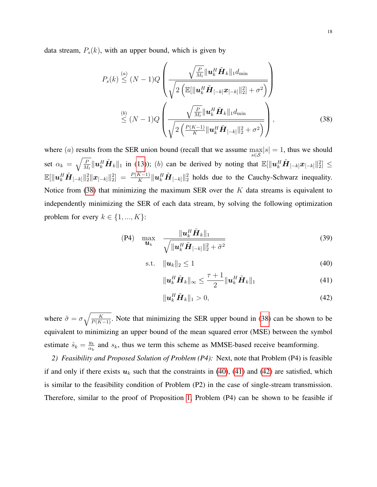data stream,  $P_s(k)$ , with an upper bound, which is given by

<span id="page-17-0"></span>
$$
P_s(k) \leq (N-1)Q \left( \frac{\sqrt{\frac{P}{M_t}} ||\boldsymbol{u}_k^H \tilde{\boldsymbol{H}}_k||_1 d_{\min}}{\sqrt{2 \left( \mathbb{E} [\|\boldsymbol{u}_k^H \tilde{\boldsymbol{H}}_{[-k]} \boldsymbol{x}_{[-k]} \|_2^2 + \sigma^2 \right)} \right)}
$$
  
\n
$$
\leq (N-1)Q \left( \frac{\sqrt{\frac{P}{M_t}} ||\boldsymbol{u}_k^H \tilde{\boldsymbol{H}}_k||_1 d_{\min}}{\sqrt{2 \left( \frac{P(K-1)}{K} ||\boldsymbol{u}_k^H \tilde{\boldsymbol{H}}_{[-k]} ||_2^2 + \sigma^2 \right)}} \right),
$$
\n(38)

where (a) results from the SER union bound (recall that we assume  $\max_{s \in S} |s| = 1$ , thus we should set  $\alpha_k = \sqrt{\frac{P}{M}}$  $\frac{P}{M_t} ||\mathbf{u}_k^H \tilde{\mathbf{H}}_k||_1$  in [\(13\)](#page-10-1)); (b) can be derived by noting that  $\mathbb{E}[\|\mathbf{u}_k^H \tilde{\mathbf{H}}_{[-k]} \mathbf{x}_{[-k]} \|^2_2] \leq$  $\mathbb{E}[\|\boldsymbol{u}_{k}^{H}\tilde{\boldsymbol{H}}_{[-k]}\|_{2}^{2}\| \boldsymbol{x}_{[-k]}\|_{2}^{2}] = \frac{P(K-1)}{K}\|\boldsymbol{u}_{k}^{H}\tilde{\boldsymbol{H}}_{[-k]}\|_{2}^{2}$  holds due to the Cauchy-Schwarz inequality. Notice from  $(38)$  that minimizing the maximum SER over the K data streams is equivalent to independently minimizing the SER of each data stream, by solving the following optimization problem for every  $k \in \{1, ..., K\}$ :

$$
\begin{array}{cc}\n\text{(P4)} & \max \quad \frac{\| \boldsymbol{u}_k^H \tilde{\boldsymbol{H}}_k \|_1}{\sqrt{\| \boldsymbol{u}_k^H \tilde{\boldsymbol{H}}_{[-k]} \|_2^2 + \tilde{\sigma}^2}}\n\end{array}\n\tag{39}
$$

$$
\text{s.t.} \quad \|\boldsymbol{u}_k\|_2 \le 1 \tag{40}
$$

<span id="page-17-2"></span><span id="page-17-1"></span>
$$
\|\boldsymbol{u}_{k}^{H}\tilde{\boldsymbol{H}}_{k}\|_{\infty} \leq \frac{\tau+1}{2}\|\boldsymbol{u}_{k}^{H}\tilde{\boldsymbol{H}}_{k}\|_{1}
$$
\n(41)

<span id="page-17-3"></span>
$$
\|\boldsymbol{u}_k^H\tilde{\boldsymbol{H}}_k\|_1 > 0,\tag{42}
$$

where  $\tilde{\sigma} = \sigma \sqrt{\frac{K}{P(K-1)}}$ . Note that minimizing the SER upper bound in [\(38\)](#page-17-0) can be shown to be equivalent to minimizing an upper bound of the mean squared error (MSE) between the symbol estimate  $\hat{s}_k = \frac{y_k}{\alpha_k}$  $\frac{y_k}{\alpha_k}$  and  $s_k$ , thus we term this scheme as MMSE-based receive beamforming.

*2) Feasibility and Proposed Solution of Problem (P4):* Next, note that Problem (P4) is feasible if and only if there exists  $u_k$  such that the constraints in [\(40\)](#page-17-1), [\(41\)](#page-17-2) and [\(42\)](#page-17-3) are satisfied, which is similar to the feasibility condition of Problem (P2) in the case of single-stream transmission. Therefore, similar to the proof of Proposition [1,](#page-12-0) Problem (P4) can be shown to be feasible if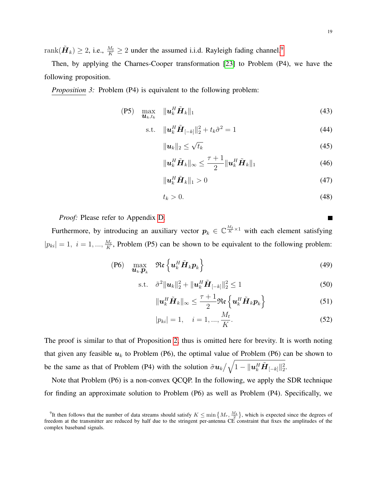rank $(\tilde{\bm{H}}_k) \ge 2$ , i.e.,  $\frac{M_t}{K} \ge 2$  under the assumed i.i.d. Rayleigh fading channel.<sup>[9](#page-0-0)</sup>

Then, by applying the Charnes-Cooper transformation [\[23\]](#page-29-12) to Problem (P4), we have the following proposition.

*Proposition 3:* Problem (P4) is equivalent to the following problem:

<span id="page-18-0"></span>
$$
\text{(P5)}\quad \max_{\boldsymbol{u}_k, t_k} \quad \|\boldsymbol{u}_k^H \tilde{\boldsymbol{H}}_k\|_1 \tag{43}
$$

s.t. 
$$
\|\mathbf{u}_k^H \tilde{\mathbf{H}}_{[-k]}\|_2^2 + t_k \tilde{\sigma}^2 = 1
$$
 (44)

$$
\|\boldsymbol{u}_k\|_2 \leq \sqrt{t_k} \tag{45}
$$

$$
\|\boldsymbol{u}_{k}^{H}\tilde{\boldsymbol{H}}_{k}\|_{\infty} \leq \frac{\tau+1}{2}\|\boldsymbol{u}_{k}^{H}\tilde{\boldsymbol{H}}_{k}\|_{1}
$$
(46)

$$
\|\boldsymbol{u}_k^H\tilde{\boldsymbol{H}}_k\|_1 > 0\tag{47}
$$

$$
t_k > 0. \tag{48}
$$

*Proof:* Please refer to Appendix [D.](#page-28-7)

Furthermore, by introducing an auxiliary vector  $p_k \in \mathbb{C}^{\frac{M_t}{K} \times 1}$  with each element satisfying  $|p_{ki}| = 1, i = 1, ..., \frac{M_t}{K}$  $\frac{M_t}{K}$ , Problem (P5) can be shown to be equivalent to the following problem:

$$
(P6) \quad \max_{\mathbf{u}_k, \mathbf{p}_k} \quad \Re \mathfrak{e} \left\{ \mathbf{u}_k^H \tilde{\mathbf{H}}_k \mathbf{p}_k \right\} \tag{49}
$$

s.t. 
$$
\tilde{\sigma}^2 \|\boldsymbol{u}_k\|_2^2 + \|\boldsymbol{u}_k^H \tilde{\boldsymbol{H}}_{[-k]}\|_2^2 \le 1
$$
 (50)

$$
\|\boldsymbol{u}_{k}^{H}\tilde{\boldsymbol{H}}_{k}\|_{\infty} \leq \frac{\tau+1}{2} \Re \boldsymbol{\varepsilon} \left\{ \boldsymbol{u}_{k}^{H}\tilde{\boldsymbol{H}}_{k} \boldsymbol{p}_{k} \right\} \tag{51}
$$

$$
|p_{ki}| = 1, \quad i = 1, ..., \frac{M_t}{K}.
$$
 (52)

The proof is similar to that of Proposition [2,](#page-13-2) thus is omitted here for brevity. It is worth noting that given any feasible  $u_k$  to Problem (P6), the optimal value of Problem (P6) can be shown to be the same as that of Problem (P4) with the solution  $\tilde{\sigma} u_k / \sqrt{1 - ||u_k^H \tilde{H}_{[-k]}||_2^2}$ .

Note that Problem (P6) is a non-convex QCQP. In the following, we apply the SDR technique for finding an approximate solution to Problem (P6) as well as Problem (P4). Specifically, we

П

<sup>&</sup>lt;sup>9</sup>It then follows that the number of data streams should satisfy  $K \le \min\left\{M_r, \frac{M_t}{2}\right\}$ , which is expected since the degrees of freedom at the transmitter are reduced by half due to the stringent per-antenna CE constraint that fixes the amplitudes of the complex baseband signals.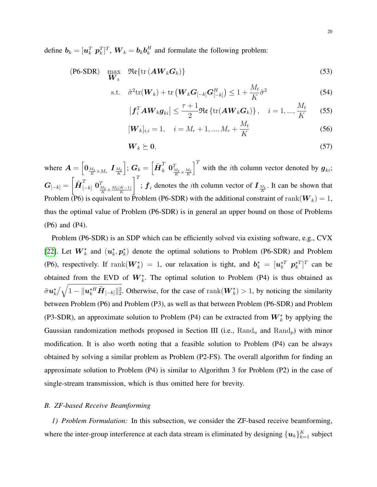define  $\boldsymbol{b}_k = [\boldsymbol{u}_k^T \ \boldsymbol{p}_k^T]^T, \ \boldsymbol{W}_k = \boldsymbol{b}_k \boldsymbol{b}_k^H$  $k<sub>k</sub><sup>H</sup>$  and formulate the following problem:

$$
\text{(P6-SDR)} \quad \max_{\boldsymbol{W}_k} \quad \mathfrak{Re}\{\text{tr}\left(\boldsymbol{A}\boldsymbol{W}_k\boldsymbol{G}_k\right)\}\tag{53}
$$

$$
\text{s.t.} \quad \tilde{\sigma}^2 \text{tr}(\boldsymbol{W}_k) + \text{tr}\left(\boldsymbol{W}_k \boldsymbol{G}_{[-k]}\boldsymbol{G}_{[-k]}^H\right) \le 1 + \frac{M_t}{K} \tilde{\sigma}^2 \tag{54}
$$

$$
\left| \boldsymbol{f}_i^T \boldsymbol{A} \boldsymbol{W}_k \boldsymbol{g}_{ki} \right| \leq \frac{\tau + 1}{2} \Re \left\{ \text{tr}(\boldsymbol{A} \boldsymbol{W}_k \boldsymbol{G}_k) \right\}, \quad i = 1, ..., \frac{M_t}{K} \tag{55}
$$

$$
[\boldsymbol{W}_k]_{i,i} = 1, \quad i = M_r + 1, ..., M_r + \frac{M_t}{K}
$$
\n(56)

$$
\boldsymbol{W}_k \succeq \boldsymbol{0},\tag{57}
$$

where  $\boldsymbol{A} = \left[ \boldsymbol{0}_{\frac{M_t}{K} \times M_r} \ \boldsymbol{I}_{\frac{M_t}{K}} \right]$  $\begin{bmatrix} \vdots \ \mathbf{G}_k = \left[ \tilde{\boldsymbol{H}}_{k}^{T} \ \boldsymbol{0}_{\frac{M_t}{K} \times \frac{M_t}{K}}^{T} \end{bmatrix}$  $\int_0^T$  with the *i*th column vector denoted by  $g_{ki}$ ;  $\bm{G}_{[-k]} =$  $\left[ \tilde{\boldsymbol{H}}_{[-k]}^T \ \boldsymbol{0}_{\frac{M_t}{K} \times \frac{M_t(K-1)}{K}}^T \right]$  $\mathcal{I}^T$ ;  $f_i$  denotes the *i*th column vector of  $I_{\frac{M_t}{K}}$ . It can be shown that Problem (P6) is equivalent to Problem (P6-SDR) with the additional constraint of rank( $W_k$ ) = 1, thus the optimal value of Problem (P6-SDR) is in general an upper bound on those of Problems (P6) and (P4).

Problem (P6-SDR) is an SDP which can be efficiently solved via existing software, e.g., CVX [\[22\]](#page-29-11). Let  $W_k^*$  and  $(u_k^*, p_k^*)$  denote the optimal solutions to Problem (P6-SDR) and Problem (P6), respectively. If  $\text{rank}(W_k^*) = 1$ , our relaxation is tight, and  $b_k^* = [u_k^{*T} \ p_k^{*T}]^T$  can be obtained from the EVD of  $W_k^*$ . The optimal solution to Problem (P4) is thus obtained as  $\tilde{\sigma} \bm{u}_k^{\star} / \sqrt{1 - \|\bm{u}_k^{\star H} \tilde{\bm{H}}_{[-k]}\|_2^2}$ . Otherwise, for the case of rank $(\bm{W}_k^{\star}) > 1$ , by noticing the similarity between Problem (P6) and Problem (P3), as well as that between Problem (P6-SDR) and Problem (P3-SDR), an approximate solution to Problem (P4) can be extracted from  $W_k^*$  by applying the Gaussian randomization methods proposed in Section III (i.e.,  $\text{Rand}_u$  and  $\text{Rand}_p$ ) with minor modification. It is also worth noting that a feasible solution to Problem (P4) can be always obtained by solving a similar problem as Problem (P2-FS). The overall algorithm for finding an approximate solution to Problem (P4) is similar to Algorithm 3 for Problem (P2) in the case of single-stream transmission, which is thus omitted here for brevity.

# *B. ZF-based Receive Beamforming*

*1) Problem Formulation:* In this subsection, we consider the ZF-based receive beamforming, where the inter-group interference at each data stream is eliminated by designing  $\{u_k\}_{k=1}^K$  subject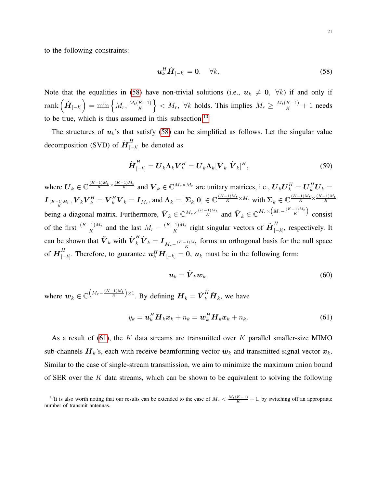to the following constraints:

<span id="page-20-0"></span>
$$
\boldsymbol{u}_k^H \tilde{\boldsymbol{H}}_{[-k]} = \mathbf{0}, \quad \forall k. \tag{58}
$$

Note that the equalities in [\(58\)](#page-20-0) have non-trivial solutions (i.e.,  $u_k \neq 0$ ,  $\forall k$ ) if and only if  $\mathrm{rank}\left( \tilde{\boldsymbol{H}}_{[-k]} \right) = \min\left\{ M_r, \frac{M_t(K-1)}{K} \right\}$  $\left\{\frac{K-1}{K}\right\} < M_r$ ,  $\forall k$  holds. This implies  $M_r \ge \frac{M_t(K-1)}{K} + 1$  needs to be true, which is thus assumed in this subsection.<sup>[10](#page-0-0)</sup>

The structures of  $u_k$ 's that satisfy [\(58\)](#page-20-0) can be simplified as follows. Let the singular value decomposition (SVD) of  $\tilde{\textbf{H}}_{[-k]}^{H}$  be denoted as

$$
\tilde{\boldsymbol{H}}_{[-k]}^{H} = \boldsymbol{U}_{k} \boldsymbol{\Lambda}_{k} \boldsymbol{V}_{k}^{H} = \boldsymbol{U}_{k} \boldsymbol{\Lambda}_{k} [\bar{\boldsymbol{V}}_{k} \ \tilde{\boldsymbol{V}}_{k}]^{H}, \qquad (59)
$$

where  $\mathbf{U}_k \in \mathbb{C}^{\frac{(K-1)M_t}{K} \times \frac{(K-1)M_t}{K}}$  and  $\mathbf{V}_k \in \mathbb{C}^{M_r \times M_r}$  are unitary matrices, i.e.,  $\mathbf{U}_k \mathbf{U}_k^H = \mathbf{U}_k^H \mathbf{U}_k =$  $\boldsymbol{I}_{\frac{(K-1)M_t}{K}},\boldsymbol{V}_k\boldsymbol{V}_k^H=\boldsymbol{V}_k^H\boldsymbol{V}_k=\boldsymbol{I}_{M_r},$  and  $\boldsymbol{\Lambda}_k=[\boldsymbol{\Sigma}_k \ \boldsymbol{0}]\in \mathbb{C}^{\frac{(K-1)M_t}{K}\times M_r}$  with  $\boldsymbol{\Sigma}_k\in \mathbb{C}^{\frac{(K-1)M_t}{K}\times \frac{(K-1)M_t}{K}}$ being a diagonal matrix. Furthermore,  $\bar{V}_k \in \mathbb{C}^{M_r \times \frac{(K-1)M_t}{K}}$  and  $\tilde{V}_k \in \mathbb{C}^{M_r \times \left(M_r - \frac{(K-1)M_t}{K}\right)}$  consist of the first  $\frac{(K-1)M_t}{K}$  and the last  $M_r - \frac{(K-1)M_t}{K}$  $\frac{(-1)M_t}{K}$  right singular vectors of  $\tilde{\bm{H}}_{{\left[ - \right.}}^H$  $\prod_{[-k]}^{11}$ , respectively. It can be shown that  $\tilde{V}_k$  with  $\tilde{V}_k^H \tilde{V}_k = I_{M_r - \frac{(K-1)M_t}{K}}$  forms an orthogonal basis for the null space of  $\tilde{\bm{H}}_{\mid -}^H$  $H_{[-k]}^H$ . Therefore, to guarantee  $\boldsymbol{u}_k^H \tilde{\boldsymbol{H}}_{[-k]} = 0$ ,  $\boldsymbol{u}_k$  must be in the following form:

<span id="page-20-1"></span>
$$
u_k = \tilde{V}_k w_k, \tag{60}
$$

where  $w_k \in \mathbb{C}^{\left(M_r - \frac{(K-1)M_t}{K}\right) \times 1}$ . By defining  $H_k = \tilde{V}_k^H \tilde{H}_k$ , we have

$$
y_k = \boldsymbol{u}_k^H \tilde{\boldsymbol{H}}_k \boldsymbol{x}_k + n_k = \boldsymbol{w}_k^H \boldsymbol{H}_k \boldsymbol{x}_k + n_k. \tag{61}
$$

As a result of [\(61\)](#page-20-1), the K data streams are transmitted over K parallel smaller-size MIMO sub-channels  $H_k$ 's, each with receive beamforming vector  $w_k$  and transmitted signal vector  $x_k$ . Similar to the case of single-stream transmission, we aim to minimize the maximum union bound of SER over the K data streams, which can be shown to be equivalent to solving the following

<sup>&</sup>lt;sup>10</sup>It is also worth noting that our results can be extended to the case of  $M_r < \frac{M_t(K-1)}{K} + 1$ , by switching off an appropriate number of transmit antennas.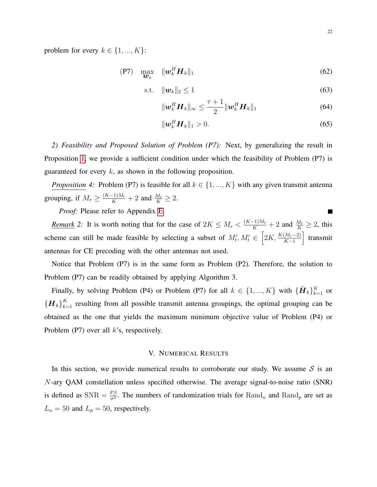problem for every  $k \in \{1, ..., K\}$ :

$$
\begin{array}{cc}\n\text{(P7)} & \max_{\boldsymbol{w}_k} & \|\boldsymbol{w}_k^H \boldsymbol{H}_k\|_1\n\end{array}\n\tag{62}
$$

$$
\text{s.t.} \quad \|\boldsymbol{w}_k\|_2 \le 1 \tag{63}
$$

$$
\|\boldsymbol{w}_{k}^{H}\boldsymbol{H}_{k}\|_{\infty} \leq \frac{\tau+1}{2} \|\boldsymbol{w}_{k}^{H}\boldsymbol{H}_{k}\|_{1}
$$
 (64)

<span id="page-21-0"></span>
$$
\|\mathbf{w}_k^H \mathbf{H}_k\|_1 > 0. \tag{65}
$$

*2) Feasibility and Proposed Solution of Problem (P7):* Next, by generalizing the result in Proposition [1,](#page-12-0) we provide a sufficient condition under which the feasibility of Problem (P7) is guaranteed for every  $k$ , as shown in the following proposition.

*Proposition* 4: Problem (P7) is feasible for all  $k \in \{1, ..., K\}$  with any given transmit antenna grouping, if  $M_r \ge \frac{(K-1)M_t}{K} + 2$  and  $\frac{M_t}{K} \ge 2$ .

*Proof:* Please refer to Appendix [E.](#page-28-8)

*Remark* 2: It is worth noting that for the case of  $2K \le M_r < \frac{(K-1)M_t}{K} + 2$  and  $\frac{M_t}{K} \ge 2$ , this scheme can still be made feasible by selecting a subset of  $M'_t, M'_t \in \left[2K, \frac{K(M_r-2)}{K-1}\right]$  transmit antennas for CE precoding with the other antennas not used.

Notice that Problem (P7) is in the same form as Problem (P2). Therefore, the solution to Problem (P7) can be readily obtained by applying Algorithm 3.

Finally, by solving Problem (P4) or Problem (P7) for all  $k \in \{1, ..., K\}$  with  $\{\tilde{\bm{H}}_k\}_{k=1}^K$  or  ${H_k}_{k=1}^K$  resulting from all possible transmit antenna groupings, the optimal grouping can be obtained as the one that yields the maximum minimum objective value of Problem (P4) or Problem (P7) over all  $k$ 's, respectively.

# V. NUMERICAL RESULTS

In this section, we provide numerical results to corroborate our study. We assume  $S$  is an N-ary QAM constellation unless specified otherwise. The average signal-to-noise ratio (SNR) is defined as  $SNR = \frac{P\beta}{\sigma^2}$ . The numbers of randomization trials for  $Rand_u$  and  $Rand_p$  are set as  $L_u = 50$  and  $L_p = 50$ , respectively.

П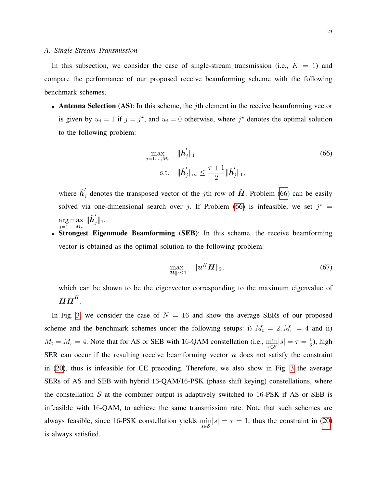In this subsection, we consider the case of single-stream transmission (i.e.,  $K = 1$ ) and compare the performance of our proposed receive beamforming scheme with the following benchmark schemes.

• Antenna Selection (AS): In this scheme, the *j*th element in the receive beamforming vector is given by  $u_j = 1$  if  $j = j^*$ , and  $u_j = 0$  otherwise, where  $j^*$  denotes the optimal solution to the following problem:

<span id="page-22-0"></span>
$$
\max_{j=1,\dots,M_r} \quad \|\tilde{\boldsymbol{h}}_j'\|_1
$$
\n
$$
\text{s.t.} \quad \|\tilde{\boldsymbol{h}}_j'\|_{\infty} \le \frac{\tau+1}{2} \|\tilde{\boldsymbol{h}}_j'\|_1,
$$
\n(66)

where  $\tilde{h}'_j$  denotes the transposed vector of the jth row of  $\tilde{H}$ . Problem [\(66\)](#page-22-0) can be easily solved via one-dimensional search over j. If Problem [\(66\)](#page-22-0) is infeasible, we set  $j^*$  = arg max  $j=1,...,M_r$  $\|\tilde{\boldsymbol{h}}_j'\|_1.$ 

• Strongest Eigenmode Beamforming (SEB): In this scheme, the receive beamforming vector is obtained as the optimal solution to the following problem:

$$
\max_{\|\boldsymbol{u}\|_2\leq 1} \quad \|\boldsymbol{u}^H\tilde{\boldsymbol{H}}\|_2,\tag{67}
$$

which can be shown to be the eigenvector corresponding to the maximum eigenvalue of  $\tilde{\bm{H}} \tilde{\bm{H}}^H.$ 

In Fig. [3,](#page-23-0) we consider the case of  $N = 16$  and show the average SERs of our proposed scheme and the benchmark schemes under the following setups: i)  $M_t = 2, M_r = 4$  and ii)  $M_t = M_r = 4$ . Note that for AS or SEB with 16-QAM constellation (i.e.,  $\min_{s \in S} |s| = \tau = \frac{1}{3}$  $\frac{1}{3}$ ), high SER can occur if the resulting receive beamforming vector  $u$  does not satisfy the constraint in [\(20\)](#page-11-2), thus is infeasible for CE precoding. Therefore, we also show in Fig. [3](#page-23-0) the average SERs of AS and SEB with hybrid 16-QAM/16-PSK (phase shift keying) constellations, where the constellation  $S$  at the combiner output is adaptively switched to 16-PSK if AS or SEB is infeasible with 16-QAM, to achieve the same transmission rate. Note that such schemes are always feasible, since 16-PSK constellation yields  $\min_{s \in S} |s| = \tau = 1$ , thus the constraint in [\(20\)](#page-11-2) is always satisfied.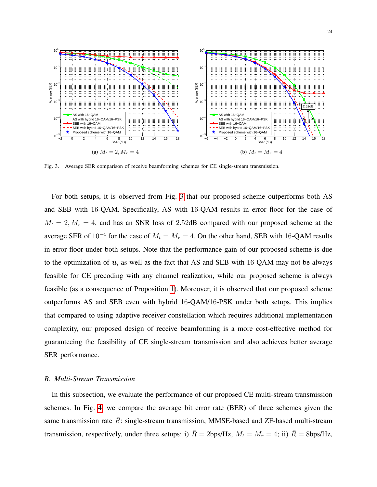

<span id="page-23-0"></span>Fig. 3. Average SER comparison of receive beamforming schemes for CE single-stream transmission.

For both setups, it is observed from Fig. [3](#page-23-0) that our proposed scheme outperforms both AS and SEB with 16-QAM. Specifically, AS with 16-QAM results in error floor for the case of  $M_t = 2, M_r = 4$ , and has an SNR loss of 2.52dB compared with our proposed scheme at the average SER of 10<sup>-4</sup> for the case of  $M_t = M_r = 4$ . On the other hand, SEB with 16-QAM results in error floor under both setups. Note that the performance gain of our proposed scheme is due to the optimization of  $u$ , as well as the fact that AS and SEB with 16-QAM may not be always feasible for CE precoding with any channel realization, while our proposed scheme is always feasible (as a consequence of Proposition [1\)](#page-12-0). Moreover, it is observed that our proposed scheme outperforms AS and SEB even with hybrid 16-QAM/16-PSK under both setups. This implies that compared to using adaptive receiver constellation which requires additional implementation complexity, our proposed design of receive beamforming is a more cost-effective method for guaranteeing the feasibility of CE single-stream transmission and also achieves better average SER performance.

# *B. Multi-Stream Transmission*

In this subsection, we evaluate the performance of our proposed CE multi-stream transmission schemes. In Fig. [4,](#page-24-0) we compare the average bit error rate (BER) of three schemes given the same transmission rate  $\overline{R}$ : single-stream transmission, MMSE-based and ZF-based multi-stream transmission, respectively, under three setups: i)  $\bar{R} = 2 \text{bps/Hz}$ ,  $M_t = M_r = 4$ ; ii)  $\bar{R} = 8 \text{bps/Hz}$ ,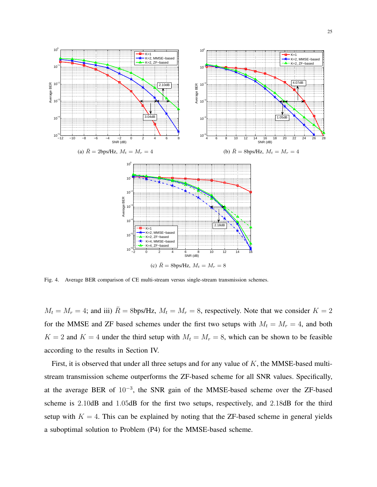

<span id="page-24-0"></span>Fig. 4. Average BER comparison of CE multi-stream versus single-stream transmission schemes.

 $M_t = M_r = 4$ ; and iii)  $\overline{R} = 8$ bps/Hz,  $M_t = M_r = 8$ , respectively. Note that we consider  $K = 2$ for the MMSE and ZF based schemes under the first two setups with  $M_t = M_r = 4$ , and both  $K = 2$  and  $K = 4$  under the third setup with  $M_t = M_r = 8$ , which can be shown to be feasible according to the results in Section IV.

First, it is observed that under all three setups and for any value of  $K$ , the MMSE-based multistream transmission scheme outperforms the ZF-based scheme for all SNR values. Specifically, at the average BER of  $10^{-3}$ , the SNR gain of the MMSE-based scheme over the ZF-based scheme is 2.10dB and 1.05dB for the first two setups, respectively, and 2.18dB for the third setup with  $K = 4$ . This can be explained by noting that the ZF-based scheme in general yields a suboptimal solution to Problem (P4) for the MMSE-based scheme.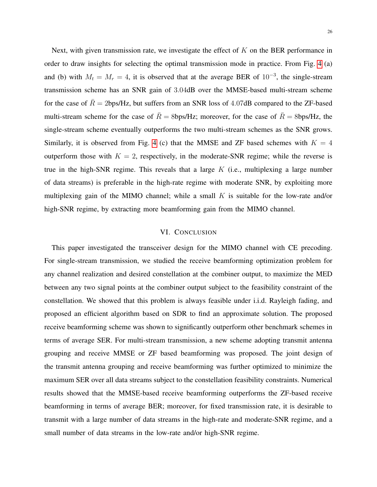Next, with given transmission rate, we investigate the effect of  $K$  on the BER performance in order to draw insights for selecting the optimal transmission mode in practice. From Fig. [4](#page-24-0) (a) and (b) with  $M_t = M_r = 4$ , it is observed that at the average BER of 10<sup>-3</sup>, the single-stream transmission scheme has an SNR gain of 3.04dB over the MMSE-based multi-stream scheme for the case of  $\overline{R} = 2$ bps/Hz, but suffers from an SNR loss of 4.07dB compared to the ZF-based multi-stream scheme for the case of  $\bar{R} = 8$ bps/Hz; moreover, for the case of  $\bar{R} = 8$ bps/Hz, the single-stream scheme eventually outperforms the two multi-stream schemes as the SNR grows. Similarly, it is observed from Fig. [4](#page-24-0) (c) that the MMSE and ZF based schemes with  $K = 4$ outperform those with  $K = 2$ , respectively, in the moderate-SNR regime; while the reverse is true in the high-SNR regime. This reveals that a large  $K$  (i.e., multiplexing a large number of data streams) is preferable in the high-rate regime with moderate SNR, by exploiting more multiplexing gain of the MIMO channel; while a small  $K$  is suitable for the low-rate and/or high-SNR regime, by extracting more beamforming gain from the MIMO channel.

## VI. CONCLUSION

This paper investigated the transceiver design for the MIMO channel with CE precoding. For single-stream transmission, we studied the receive beamforming optimization problem for any channel realization and desired constellation at the combiner output, to maximize the MED between any two signal points at the combiner output subject to the feasibility constraint of the constellation. We showed that this problem is always feasible under i.i.d. Rayleigh fading, and proposed an efficient algorithm based on SDR to find an approximate solution. The proposed receive beamforming scheme was shown to significantly outperform other benchmark schemes in terms of average SER. For multi-stream transmission, a new scheme adopting transmit antenna grouping and receive MMSE or ZF based beamforming was proposed. The joint design of the transmit antenna grouping and receive beamforming was further optimized to minimize the maximum SER over all data streams subject to the constellation feasibility constraints. Numerical results showed that the MMSE-based receive beamforming outperforms the ZF-based receive beamforming in terms of average BER; moreover, for fixed transmission rate, it is desirable to transmit with a large number of data streams in the high-rate and moderate-SNR regime, and a small number of data streams in the low-rate and/or high-SNR regime.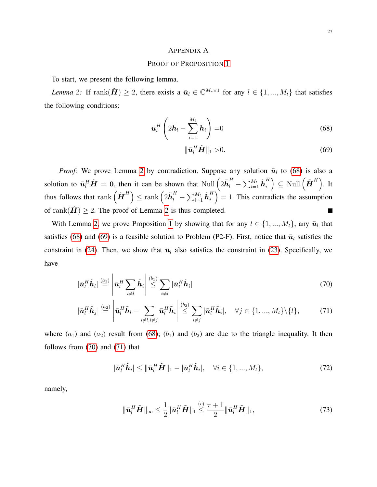# <span id="page-26-1"></span><span id="page-26-0"></span>APPENDIX A

# PROOF OF PROPOSITION [1](#page-12-0)

To start, we present the following lemma.

*Lemma* 2: If rank $(\tilde{H}) \geq 2$ , there exists a  $\bar{u}_l \in \mathbb{C}^{M_r \times 1}$  for any  $l \in \{1, ..., M_t\}$  that satisfies the following conditions:

$$
\bar{\boldsymbol{u}}_l^H \left(2\tilde{\boldsymbol{h}}_l - \sum_{i=1}^{M_t} \tilde{\boldsymbol{h}}_i\right) = 0
$$
\n(68)

<span id="page-26-5"></span><span id="page-26-4"></span><span id="page-26-3"></span><span id="page-26-2"></span>
$$
\|\bar{\boldsymbol{u}}_l^H\tilde{\boldsymbol{H}}\|_1 > 0. \tag{69}
$$

*Proof:* We prove Lemma [2](#page-26-1) by contradiction. Suppose any solution  $\bar{u}_l$  to [\(68\)](#page-26-2) is also a solution to  $\bar{\bm{u}}_l^H \tilde{\bm{H}} = \bm{0}$ , then it can be shown that  $\text{Null}\left(2\tilde{\bm{h}}_l^H - \sum_{i=1}^{M_t} \tilde{\bm{h}}_i^H\right)$  $\left(\tilde{\bm{H}}^H\right) \subseteq \textrm{Null}\left(\tilde{\bm{H}}^H\right)$ . It thus follows that  $\mathrm{rank}\left( \tilde{\bm{H}}^H \right) \leq \mathrm{rank}\left( 2\tilde{\bm{h}}^H_l - \sum_{i=1}^{M_t}\tilde{\bm{h}}^H_i \right)$  $\binom{H}{i} = 1$ . This contradicts the assumption of rank $(H) \geq 2$  $(H) \geq 2$ . The proof of Lemma 2 is thus completed. П

With Lemma [2,](#page-26-1) we prove Proposition [1](#page-12-0) by showing that for any  $l \in \{1, ..., M_t\}$ , any  $\bar{u}_l$  that satisfies [\(68\)](#page-26-2) and [\(69\)](#page-26-3) is a feasible solution to Problem (P2-F). First, notice that  $\bar{u}_l$  satisfies the constraint in [\(24\)](#page-12-2). Then, we show that  $\bar{u}_l$  also satisfies the constraint in [\(23\)](#page-12-3). Specifically, we have

$$
\left|\bar{\mathbf{u}}_{l}^{H}\tilde{\mathbf{h}}_{l}\right| \stackrel{(a_{1})}{=} \left|\bar{\mathbf{u}}_{l}^{H}\sum_{i\neq l}\tilde{\mathbf{h}}_{i}\right| \stackrel{(b_{1})}{\leq} \sum_{i\neq l}\left|\bar{\mathbf{u}}_{l}^{H}\tilde{\mathbf{h}}_{i}\right|
$$
\n(70)

$$
|\bar{\mathbf{u}}_l^H \tilde{\mathbf{h}}_j| \stackrel{(a_2)}{=} \left| \bar{\mathbf{u}}_l^H \tilde{\mathbf{h}}_l - \sum_{i \neq l, i \neq j} \bar{\mathbf{u}}_l^H \tilde{\mathbf{h}}_i \right| \stackrel{(b_2)}{\leq} \sum_{i \neq j} |\bar{\mathbf{u}}_l^H \tilde{\mathbf{h}}_i|, \quad \forall j \in \{1, ..., M_t\} \setminus \{l\},
$$
 (71)

where  $(a_1)$  and  $(a_2)$  result from [\(68\)](#page-26-2);  $(b_1)$  and  $(b_2)$  are due to the triangle inequality. It then follows from [\(70\)](#page-26-4) and [\(71\)](#page-26-5) that

$$
|\bar{\mathbf{u}}_l^H \tilde{\mathbf{h}}_i| \leq ||\bar{\mathbf{u}}_l^H \tilde{\mathbf{H}}||_1 - |\bar{\mathbf{u}}_l^H \tilde{\mathbf{h}}_i|, \quad \forall i \in \{1, ..., M_t\},
$$
\n(72)

namely,

$$
\|\bar{\mathbf{u}}_l^H \tilde{\mathbf{H}}\|_{\infty} \le \frac{1}{2} \|\bar{\mathbf{u}}_l^H \tilde{\mathbf{H}}\|_{1} \le \frac{\tau + 1}{2} \|\bar{\mathbf{u}}_l^H \tilde{\mathbf{H}}\|_{1},\tag{73}
$$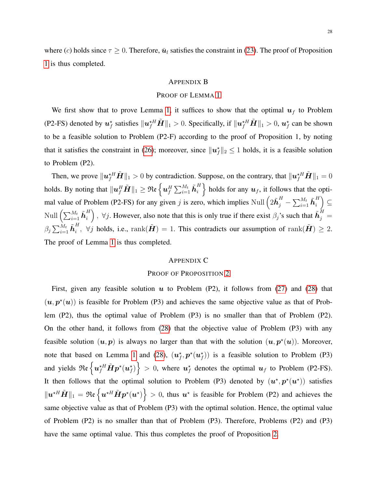where (c) holds since  $\tau \geq 0$ . Therefore,  $\bar{u}_l$  satisfies the constraint in [\(23\)](#page-12-3). The proof of Proposition [1](#page-12-0) is thus completed.

# <span id="page-27-0"></span>APPENDIX B

## PROOF OF LEMMA [1](#page-12-1)

We first show that to prove Lemma [1,](#page-12-1) it suffices to show that the optimal  $u_f$  to Problem (P2-FS) denoted by  $u_f^*$  satisfies  $||u_f^*H||_1 > 0$ . Specifically, if  $||u_f^*H||_1 > 0$ ,  $u_f^*$  can be shown to be a feasible solution to Problem (P2-F) according to the proof of Proposition 1, by noting that it satisfies the constraint in [\(26\)](#page-12-4); moreover, since  $||u_f^*||_2 \le 1$  holds, it is a feasible solution to Problem (P2).

Then, we prove  $\|\boldsymbol{u}_f^{\star H} \tilde{\boldsymbol{H}} \|_1 > 0$  by contradiction. Suppose, on the contrary, that  $\|\boldsymbol{u}_f^{\star H} \tilde{\boldsymbol{H}} \|_1 = 0$ holds. By noting that  $\|\bm{u}_f^H\tilde{\bm{H}}\|_1 \geq \mathfrak{Re}\left\{\bm{u}_f^H\sum_{i=1}^{M_t}\tilde{\bm{h}}_i^H\right\}$  $\left\{\begin{array}{c} H \\ i \end{array}\right\}$  holds for any  $\bm{u}_f$ , it follows that the optimal value of Problem (P2-FS) for any given j is zero, which implies Null  $(2\tilde{\boldsymbol{h}}_j^H - \sum_{i=1}^{M_t} \tilde{\boldsymbol{h}}_i^H)$  $\binom{H}{i} \subseteq$ Null  $\left(\sum_{i=1}^{M_t} \tilde{\bm{h}}_i^H\right)$  $\binom{H}{i}$ ,  $\forall j$ . However, also note that this is only true if there exist  $\beta_j$ 's such that  $\tilde{\bm{h}}_j^H =$  $\beta_j\sum_{i=1}^{M_t} \tilde{\bm{h}}_i^H$  $i, \forall j$  holds, i.e.,  $\text{rank}(\tilde{\bm{H}}) = 1$ . This contradicts our assumption of  $\text{rank}(\tilde{\bm{H}}) \geq 2$ . The proof of Lemma [1](#page-12-1) is thus completed.

# <span id="page-27-1"></span>APPENDIX C

# PROOF OF PROPOSITION [2](#page-13-2)

First, given any feasible solution  $u$  to Problem (P2), it follows from [\(27\)](#page-13-0) and [\(28\)](#page-13-1) that  $(u, p^*(u))$  is feasible for Problem (P3) and achieves the same objective value as that of Problem (P2), thus the optimal value of Problem (P3) is no smaller than that of Problem (P2). On the other hand, it follows from [\(28\)](#page-13-1) that the objective value of Problem (P3) with any feasible solution  $(u, p)$  is always no larger than that with the solution  $(u, p^{\star}(u))$ . Moreover, note that based on Lemma [1](#page-12-1) and [\(28\)](#page-13-1),  $(u_f^*, p^*(u_f^*))$  is a feasible solution to Problem (P3) and yields  $\mathfrak{Re}\left\{u_f^{\star H}\tilde{\bm{H}}p^\star(u_f^\star)\right\} > 0$ , where  $u_f^\star$  denotes the optimal  $u_f$  to Problem (P2-FS). It then follows that the optimal solution to Problem (P3) denoted by  $(u^*, p^*(u^*))$  satisfies  $||u^{\star H}\tilde{H}||_1 = \Re\epsilon \left\{ u^{\star H}\tilde{H}p^{\star}(u^{\star}) \right\} > 0$ , thus  $u^{\star}$  is feasible for Problem (P2) and achieves the same objective value as that of Problem (P3) with the optimal solution. Hence, the optimal value of Problem (P2) is no smaller than that of Problem (P3). Therefore, Problems (P2) and (P3) have the same optimal value. This thus completes the proof of Proposition [2.](#page-13-2)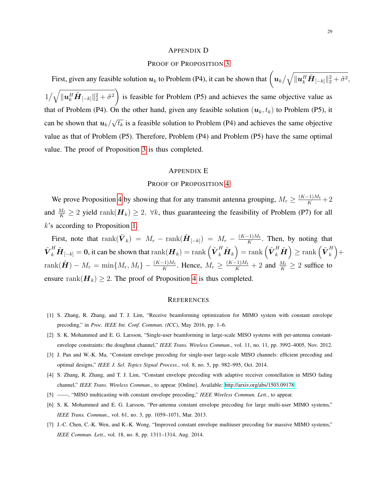#### <span id="page-28-7"></span>APPENDIX D

## PROOF OF PROPOSITION [3](#page-18-0)

First, given any feasible solution  $u_k$  to Problem (P4), it can be shown that  $\left(u_k/\sqrt{\|u_k^H\tilde{H}_{[-k]}\|_2^2+\tilde{\sigma}^2},\right.$  $1/\sqrt{\|\boldsymbol{u}_{k}^H\tilde{\boldsymbol{H}}_{[-k]}\|_2^2+\tilde{\sigma}^2}\bigg)$ is feasible for Problem (P5) and achieves the same objective value as that of Problem (P4). On the other hand, given any feasible solution  $(u_k, t_k)$  to Problem (P5), it can be shown that  $u_k/$ √  $\overline{t_k}$  is a feasible solution to Problem (P4) and achieves the same objective value as that of Problem (P5). Therefore, Problem (P4) and Problem (P5) have the same optimal value. The proof of Proposition [3](#page-18-0) is thus completed.

#### <span id="page-28-8"></span>APPENDIX E

# PROOF OF PROPOSITION [4](#page-21-0)

We prove Proposition [4](#page-21-0) by showing that for any transmit antenna grouping,  $M_r \geq \frac{(K-1)M_t}{K} + 2$ and  $\frac{M_t}{K} \ge 2$  yield rank $(H_k) \ge 2$ ,  $\forall k$ , thus guaranteeing the feasibility of Problem (P7) for all k's according to Proposition [1.](#page-12-0)

First, note that  $\text{rank}(\tilde{\boldsymbol{V}}_k) = M_r - \text{rank}(\tilde{\boldsymbol{H}}_{[-k]}) = M_r - \frac{(K-1)M_t}{K}$  $\frac{-1}{K}$ . Then, by noting that  ${\tilde{\bm V}_k^H}\tilde{\bm H}_{[-k]}= \bm 0,$  it can be shown that  $\mathrm{rank}(\bm H_k)=\mathrm{rank}\left({\tilde{\bm V}_k^H}\tilde{\bm H}_k\right)=\mathrm{rank}\left({\tilde{\bm V}_k^H}\tilde{\bm H}\right)\geq \mathrm{rank}\left({\tilde{\bm V}_k^H}\tilde{\bm H}_k\right)$  $\binom{H}{k} +$  $rank(\tilde{\boldsymbol{H}}) - M_r = min\{M_r, M_t\} - \frac{(K-1)M_t}{K}$ . Hence,  $M_r \ge \frac{(K-1)M_t}{K} + 2$  and  $\frac{M_t}{K} \ge 2$  suffice to ensure rank $(H_k) \geq 2$ . The proof of Proposition [4](#page-21-0) is thus completed.

#### **REFERENCES**

- <span id="page-28-0"></span>[1] S. Zhang, R. Zhang, and T. J. Lim, "Receive beamforming optimization for MIMO system with constant envelope precoding," in *Proc. IEEE Int. Conf. Commun. (ICC)*, May 2016, pp. 1–6.
- <span id="page-28-1"></span>[2] S. K. Mohammed and E. G. Larsson, "Single-user beamforming in large-scale MISO systems with per-antenna constantenvelope constraints: the doughnut channel," *IEEE Trans. Wireless Commun.*, vol. 11, no. 11, pp. 3992–4005, Nov. 2012.
- <span id="page-28-4"></span>[3] J. Pan and W.-K. Ma, "Constant envelope precoding for single-user large-scale MISO channels: efficient precoding and optimal designs," *IEEE J. Sel. Topics Signal Process.*, vol. 8, no. 5, pp. 982–995, Oct. 2014.
- <span id="page-28-3"></span>[4] S. Zhang, R. Zhang, and T. J. Lim, "Constant envelope precoding with adaptive receiver constellation in MISO fading channel," *IEEE Trans. Wireless Commun.*, to appear. [Online]. Available: [http://arxiv.org/abs/1503.09178.](http://arxiv.org/abs/1503.09178)
- <span id="page-28-2"></span>[5] ——, "MISO multicasting with constant envelope precoding," *IEEE Wireless Commun. Lett.*, to appear.
- <span id="page-28-5"></span>[6] S. K. Mohammed and E. G. Larsson, "Per-antenna constant envelope precoding for large multi-user MIMO systems," *IEEE Trans. Commun.*, vol. 61, no. 3, pp. 1059–1071, Mar. 2013.
- <span id="page-28-6"></span>[7] J.-C. Chen, C.-K. Wen, and K.-K. Wong, "Improved constant envelope multiuser precoding for massive MIMO systems," *IEEE Commun. Lett.*, vol. 18, no. 8, pp. 1311–1314, Aug. 2014.